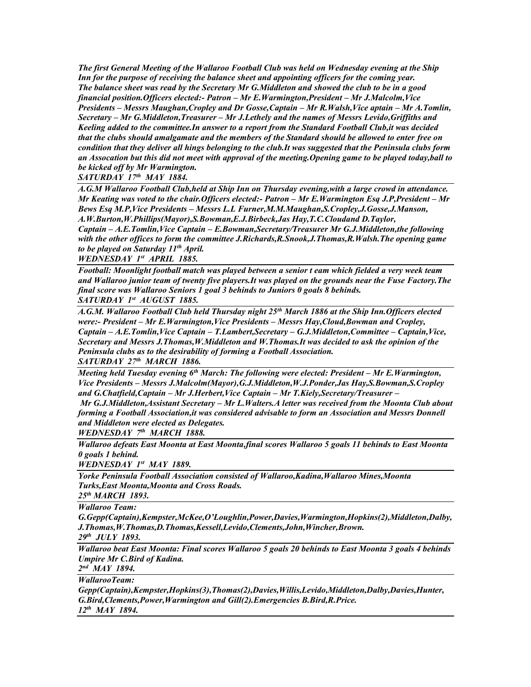*The first General Meeting of the Wallaroo Football Club was held on Wednesday evening at the Ship Inn for the purpose of receiving the balance sheet and appointing officers for the coming year. The balance sheet was read by the Secretary Mr G.Middleton and showed the club to be in a good financial position.Officers elected:- Patron – Mr E.Warmington,President – Mr J.Malcolm,Vice Presidents – Messrs Maughan,Cropley and Dr Gosse,Captain – Mr R.Walsh,Vice aptain – Mr A.Tomlin, Secretary – Mr G.Middleton,Treasurer – Mr J.Lethely and the names of Messrs Levido,Griffiths and Keeling added to the committee.In answer to a report from the Standard Football Club,it was decided that the clubs should amalgamate and the members of the Standard should be allowed to enter free on condition that they deliver all hings belonging to the club.It was suggested that the Peninsula clubs form an Assocation but this did not meet with approval of the meeting.Opening game to be played today,ball to be kicked off by Mr Warmington.*

*SATURDAY 17th MAY 1884.* 

*A.G.M Wallaroo Football Club,held at Ship Inn on Thursday evening,with a large crowd in attendance. Mr Keating was voted to the chair.Officers elected:- Patron – Mr E.Warmington Esq J.P,President – Mr Bews Esq M.P,Vice Presidents – Messrs L.L Furner,M.M.Maughan,S.Cropley,J.Gosse,J.Manson, A.W.Burton,W.Phillips(Mayor),S.Bowman,E.J.Birbeck,Jas Hay,T.C.Cloudand D.Taylor, Captain – A.E.Tomlin,Vice Captain – E.Bowman,Secretary/Treasurer Mr G.J.Middleton,the following with the other offices to form the committee J.Richards,R.Snook,J.Thomas,R.Walsh.The opening game to be played on Saturday 11th April.*

*WEDNESDAY 1st APRIL 1885.*

*Football: Moonlight football match was played between a senior t eam which fielded a very week team and Wallaroo junior team of twenty five players.It was played on the grounds near the Fuse Factory.The final score was Wallaroo Seniors 1 goal 3 behinds to Juniors 0 goals 8 behinds. SATURDAY 1st AUGUST 1885.*

*A.G.M. Wallaroo Football Club held Thursday night 25th March 1886 at the Ship Inn.Officers elected were:- President – Mr E.Warmington,Vice Presidents – Messrs Hay,Cloud,Bowman and Cropley, Captain – A.E.Tomlin,Vice Captain – T.Lambert,Secretary – G.J.Middleton,Committee – Captain,Vice, Secretary and Messrs J.Thomas,W.Middleton and W.Thomas.It was decided to ask the opinion of the Peninsula clubs as to the desirability of forming a Football Association. SATURDAY 27th MARCH 1886.*

*Meeting held Tuesday evening 6th March: The following were elected: President – Mr E.Warmington, Vice Presidents – Messrs J.Malcolm(Mayor),G.J.Middleton,W.J.Ponder,Jas Hay,S.Bowman,S.Cropley and G.Chatfield,Captain – Mr J.Herbert,Vice Captain – Mr T.Kiely,Secretary/Treasurer –*

*Mr G.J.Middleton,Assistant Secretary – Mr L.Walters.A letter was received from the Moonta Club about forming a Football Association,it was considered advisable to form an Association and Messrs Donnell and Middleton were elected as Delegates.*

*WEDNESDAY 7th MARCH 1888.*

*Wallaroo defeats East Moonta at East Moonta,final scores Wallaroo 5 goals 11 behinds to East Moonta 0 goals 1 behind.*

*WEDNESDAY 1st MAY 1889.*

*Yorke Peninsula Football Association consisted of Wallaroo,Kadina,Wallaroo Mines,Moonta Turks,East Moonta,Moonta and Cross Roads. 25th MARCH 1893.*

*Wallaroo Team:* 

*G.Gepp(Captain),Kempster,McKee,O'Loughlin,Power,Davies,Warmington,Hopkins(2),Middleton,Dalby, J.Thomas,W.Thomas,D.Thomas,Kessell,Levido,Clements,John,Wincher,Brown.*

*29th JULY 1893.*

*Wallaroo beat East Moonta: Final scores Wallaroo 5 goals 20 behinds to East Moonta 3 goals 4 behinds Umpire Mr C.Bird of Kadina.*

*2 nd MAY 1894.*

*WallarooTeam:*

*Gepp(Captain),Kempster,Hopkins(3),Thomas(2),Davies,Willis,Levido,Middleton,Dalby,Davies,Hunter, G.Bird,Clements,Power,Warmington and Gill(2).Emergencies B.Bird,R.Price. 12th MAY 1894.*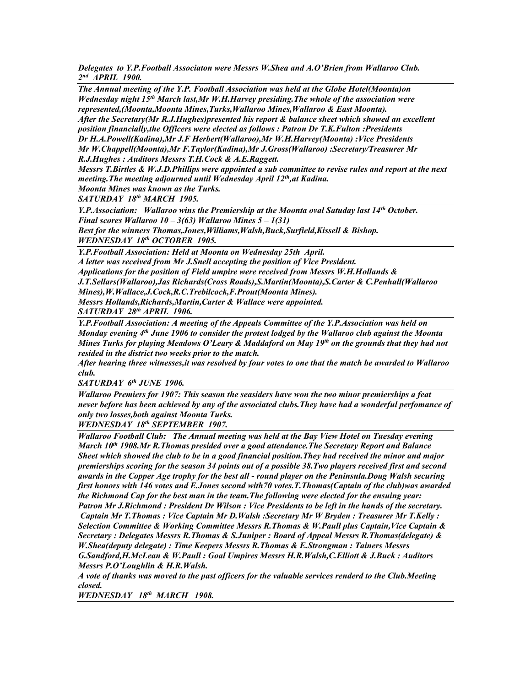*Delegates to Y.P.Football Associaton were Messrs W.Shea and A.O'Brien from Wallaroo Club. 2 nd APRIL 1900.*

*The Annual meeting of the Y.P. Football Association was held at the Globe Hotel(Moonta)on Wednesday night 15th March last,Mr W.H.Harvey presiding.The whole of the association were represented,(Moonta,Moonta Mines,Turks,Wallaroo Mines,Wallaroo & East Moonta). After the Secretary(Mr R.J.Hughes)presented his report & balance sheet which showed an excellent position financially,the Officers were elected as follows : Patron Dr T.K.Fulton :Presidents Dr H.A.Powell(Kadina),Mr J.F Herbert(Wallaroo),Mr W.H.Harvey(Moonta) :Vice Presidents Mr W.Chappell(Moonta),Mr F.Taylor(Kadina),Mr J.Gross(Wallaroo) :Secretary/Treasurer Mr* 

*R.J.Hughes : Auditors Messrs T.H.Cock & A.E.Raggett.*

*Messrs T.Birtles & W.J.D.Phillips were appointed a sub committee to revise rules and report at the next meeting.The meeting adjourned until Wednesday April 12th,at Kadina.*

*Moonta Mines was known as the Turks.*

*SATURDAY 18th MARCH 1905.*

*Y.P.Association: Wallaroo wins the Premiership at the Moonta oval Satuday last 14th October. Final scores Wallaroo 10 – 3(63) Wallaroo Mines 5 – 1(31) Best for the winners Thomas,Jones,Williams,Walsh,Buck,Surfield,Kissell & Bishop.*

*WEDNESDAY 18th OCTOBER 1905.*

*Y.P.Football Association: Held at Moonta on Wednesday 25th April.*

*A letter was received from Mr J.Snell accepting the position of Vice President. Applications for the position of Field umpire were received from Messrs W.H.Hollands & J.T.Sellars(Wallaroo),Jas Richards(Cross Roads),S.Martin(Moonta),S.Carter & C.Penhall(Wallaroo Mines),W.Wallace,J.Cock,R.C.Trebilcock,F.Prout(Moonta Mines). Messrs Hollands,Richards,Martin,Carter & Wallace were appointed.*

*SATURDAY 28th APRIL 1906.*

*Y.P.Football Association: A meeting of the Appeals Committee of the Y.P.Association was held on Monday evening 4th June 1906 to consider the protest lodged by the Wallaroo club against the Moonta Mines Turks for playing Meadows O'Leary & Maddaford on May 19th on the grounds that they had not resided in the district two weeks prior to the match.*

*After hearing three witnesses,it was resolved by four votes to one that the match be awarded to Wallaroo club.*

*SATURDAY 6th JUNE 1906.*

*Wallaroo Premiers for 1907: This season the seasiders have won the two minor premierships a feat never before has been achieved by any of the associated clubs.They have had a wonderful perfomance of only two losses,both against Moonta Turks.*

*WEDNESDAY 18th SEPTEMBER 1907.*

*Wallaroo Football Club: The Annual meeting was held at the Bay View Hotel on Tuesday evening March 10th 1908.Mr R.Thomas presided over a good attendance.The Secretary Report and Balance Sheet which showed the club to be in a good financial position.They had received the minor and major premierships scoring for the season 34 points out of a possible 38.Two players received first and second awards in the Copper Age trophy for the best all - round player on the Peninsula.Doug Walsh securing first honors with 146 votes and E.Jones second with70 votes.T.Thomas(Captain of the club)was awarded the Richmond Cap for the best man in the team.The following were elected for the ensuing year: Patron Mr J.Richmond : President Dr Wilson : Vice Presidents to be left in the hands of the secretary. Captain Mr T.Thomas : Vice Captain Mr D.Walsh :Secretary Mr W Bryden : Treasurer Mr T.Kelly : Selection Committee & Working Committee Messrs R.Thomas & W.Paull plus Captain,Vice Captain & Secretary : Delegates Messrs R.Thomas & S.Juniper : Board of Appeal Messrs R.Thomas(delegate) & W.Shea(deputy delegate) : Time Keepers Messrs R.Thomas & E.Strongman : Tainers Messrs G.Sandford,H.McLean & W.Paull : Goal Umpires Messrs H.R.Walsh,C.Elliott & J.Buck : Auditors Messrs P.O'Loughlin & H.R.Walsh.*

*A vote of thanks was moved to the past officers for the valuable services renderd to the Club.Meeting closed.*

*WEDNESDAY 18th MARCH 1908.*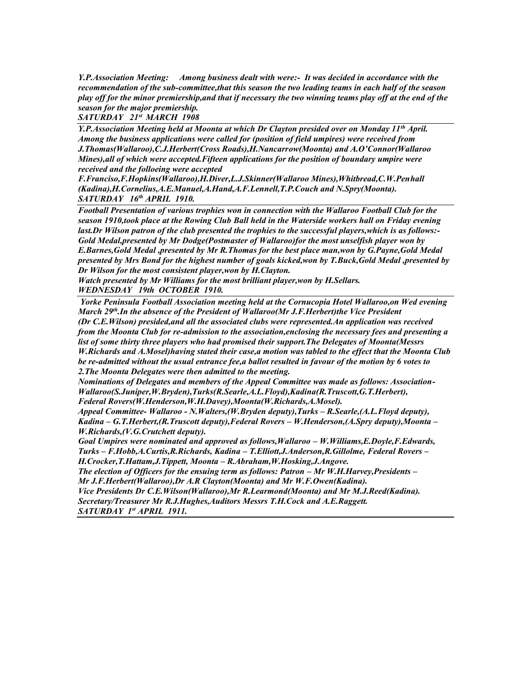*Y.P.Association Meeting: Among business dealt with were:- It was decided in accordance with the recommendation of the sub-committee,that this season the two leading teams in each half of the season play off for the minor premiership,and that if necessary the two winning teams play off at the end of the season for the major premiership.*

*SATURDAY 21st MARCH 1908*

*Y.P.Association Meeting held at Moonta at which Dr Clayton presided over on Monday 11th April. Among the business applications were called for (position of field umpires) were received from J.Thomas(Wallaroo),C.J.Herbert(Cross Roads),H.Nancarrow(Moonta) and A.O'Connor(Wallaroo Mines),all of which were accepted.Fifteen applications for the position of boundary umpire were received and the folloeing were accepted* 

*F.Franciso,F.Hopkins(Wallaroo),H.Diver,L.J.Skinner(Wallaroo Mines),Whitbread,C.W.Penhall (Kadina),H.Cornelius,A.E.Manuel,A.Hand,A.F.Lennell,T.P.Couch and N.Spry(Moonta). SATURDAY 16th APRIL 1910.*

*Football Presentation of various trophies won in connection with the Wallaroo Football Club for the season 1910,took place at the Rowing Club Ball held in the Waterside workers hall on Friday evening last.Dr Wilson patron of the club presented the trophies to the successful players,which is as follows:- Gold Medal,presented by Mr Dodge(Postmaster of Wallaroo)for the most unselfish player won by E.Barnes,Gold Medal ,presented by Mr R.Thomas for the best place man,won by G.Payne,Gold Medal presented by Mrs Bond for the highest number of goals kicked,won by T.Buck,Gold Medal ,presented by Dr Wilson for the most consistent player,won by H.Clayton.*

*Watch presented by Mr Williams for the most brilliant player,won by H.Sellars. WEDNESDAY 19th OCTOBER 1910.*

*Yorke Peninsula Football Association meeting held at the Cornucopia Hotel Wallaroo,on Wed evening March 29th.In the absence of the President of Wallaroo(Mr J.F.Herbert)the Vice President (Dr C.E.Wilson) presided,and all the associated clubs were represented.An application was received from the Moonta Club for re-admission to the association,enclosing the necessary fees and presenting a list of some thirty three players who had promised their support.The Delegates of Moonta(Messrs W.Richards and A.Mosel)having stated their case,a motion was tabled to the effect that the Moonta Club be re-admitted without the usual entrance fee,a ballot resulted in favour of the motion by 6 votes to 2.The Moonta Delegates were then admitted to the meeting.*

*Nominations of Delegates and members of the Appeal Committee was made as follows: Association-Wallaroo(S.Juniper,W.Bryden),Turks(R.Searle,A.L.Floyd),Kadina(R.Truscott,G.T.Herbert), Federal Rovers(W.Henderson,W.H.Davey),Moonta(W.Richards,A.Mosel).*

*Appeal Committee- Wallaroo - N.Walters,(W.Bryden deputy),Turks – R.Searle,(A.L.Floyd deputy), Kadina – G.T.Herbert,(R.Truscott deputy),Federal Rovers – W.Henderson,(A.Spry deputy),Moonta – W.Richards,(V.G.Crutchett deputy).*

*Goal Umpires were nominated and approved as follows,Wallaroo – W.Williams,E.Doyle,F.Edwards, Turks – F.Hobb,A.Curtis,R.Richards, Kadina – T.Elliott,J.Anderson,R.Gillolme, Federal Rovers –*

*H.Crocker,T.Hattam,J.Tippett, Moonta – R.Abraham,W.Hosking,J.Angove.*

*The election of Officers for the ensuing term as follows: Patron – Mr W.H.Harvey,Presidents – Mr J.F.Herbert(Wallaroo),Dr A.R Clayton(Moonta) and Mr W.F.Owen(Kadina).*

*Vice Presidents Dr C.E.Wilson(Wallaroo),Mr R.Learmond(Moonta) and Mr M.J.Reed(Kadina). Secretary/Treasurer Mr R.J.Hughes,Auditors Messrs T.H.Cock and A.E.Raggett. SATURDAY 1st APRIL 1911.*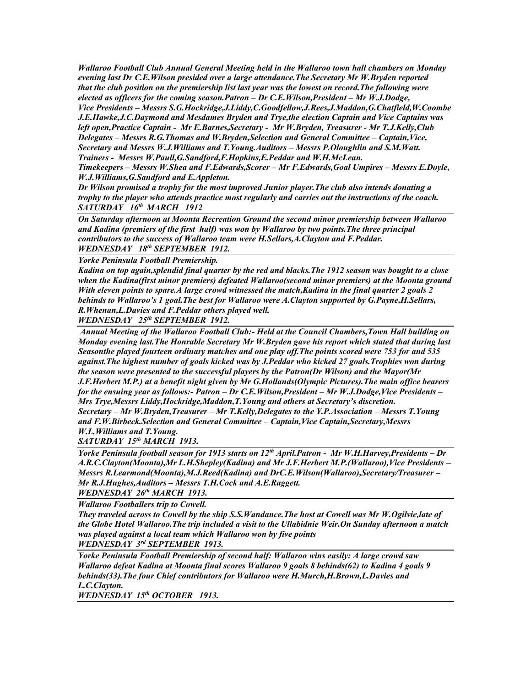*Wallaroo Football Club Annual General Meeting held in the Wallaroo town hall chambers on Monday evening last Dr C.E.Wilson presided over a large attendance.The Secretary Mr W.Bryden reported that the club position on the premiership list last year was the lowest on record.The following were elected as officers for the coming season.Patron – Dr C.E.Wilson,President – Mr W.J.Dodge,*

*Vice Presidents – Messrs S.G.Hockridge,J.Liddy,C.Goodfellow,J.Rees,J.Maddon,G.Chatfield,W.Coombe J.E.Hawke,J.C.Daymond and Mesdames Bryden and Trye,the election Captain and Vice Captains was left open,Practice Captain - Mr E.Barnes,Secretary - Mr W.Bryden, Treasurer - Mr T.J.Kelly,Club Delegates – Messrs R.G.Thomas and W.Bryden,Selection and General Committee – Captain,Vice, Secretary and Messrs W.J.Williams and T.Young.Auditors – Messrs P.Oloughlin and S.M.Watt. Trainers - Messrs W.Paull,G.Sandford,F.Hopkins,E.Peddar and W.H.McLean.*

*Timekeepers – Messrs W.Shea and F.Edwards,Scorer – Mr F.Edwards,Goal Umpires – Messrs E.Doyle, W.J.Williams,G.Sandford and E.Appleton.*

*Dr Wilson promised a trophy for the most improved Junior player.The club also intends donating a trophy to the player who attends practice most regularly and carries out the instructions of the coach. SATURDAY 16th MARCH 1912*

*On Saturday afternoon at Moonta Recreation Ground the second minor premiership between Wallaroo and Kadina (premiers of the first half) was won by Wallaroo by two points.The three principal contributors to the success of Wallaroo team were H.Sellars,A.Clayton and F.Peddar. WEDNESDAY 18th SEPTEMBER 1912.* 

*Yorke Peninsula Football Premiership.*

*Kadina on top again,splendid final quarter by the red and blacks.The 1912 season was bought to a close when the Kadina(first minor premiers) defeated Wallaroo(second minor premiers) at the Moonta ground With eleven points to spare.A large crowd witnessed the match,Kadina in the final quarter 2 goals 2 behinds to Wallaroo's 1 goal.The best for Wallaroo were A.Clayton supported by G.Payne,H.Sellars, R.Whenan,L.Davies and F.Peddar others played well.*

*WEDNESDAY 25th SEPTEMBER 1912.*

*Annual Meeting of the Wallaroo Football Club:- Held at the Council Chambers,Town Hall building on Monday evening last.The Honrable Secretary Mr W.Bryden gave his report which stated that during last Seasonthe played fourteen ordinary matches and one play off.The points scored were 753 for and 535 against.The highest number of goals kicked was by J.Peddar who kicked 27 goals.Trophies won during the season were presented to the successful players by the Patron(Dr Wilson) and the Mayor(Mr J.F.Herbert M.P.) at a benefit night given by Mr G.Hollands(Olympic Pictures).The main office bearers for the ensuing year as follows:- Patron – Dr C.E.Wilson,President – Mr W.J.Dodge,Vice Presidents – Mrs Trye,Messrs Liddy,Hockridge,Maddon,T.Young and others at Secretary's discretion. Secretary – Mr W.Bryden,Treasurer – Mr T.Kelly,Delegates to the Y.P.Association – Messrs T.Young and F.W.Birbeck.Selection and General Committee – Captain,Vice Captain,Secretary,Messrs W.L.Williams and T.Young.*

*SATURDAY 15th MARCH 1913.*

*Yorke Peninsula football season for 1913 starts on 12th April.Patron - Mr W.H.Harvey,Presidents – Dr A.R.C.Clayton(Moonta),Mr L.H.Shepley(Kadina) and Mr J.F.Herbert M.P.(Wallaroo),Vice Presidents – Messrs R.Learmond(Moonta),M.J.Reed(Kadina) and DrC.E.Wilson(Wallaroo),Secretary/Treasurer – Mr R.J.Hughes,Auditors – Messrs T.H.Cock and A.E.Raggett.*

*WEDNESDAY 26th MARCH 1913.*

*Wallaroo Footballers trip to Cowell.*

*They traveled across to Cowell by the ship S.S.Wandance.The host at Cowell was Mr W.Ogilvie,late of the Globe Hotel Wallaroo.The trip included a visit to the Ullabidnie Weir.On Sunday afternoon a match was played against a local team which Wallaroo won by five points WEDNESDAY 3rd SEPTEMBER 1913.*

*Yorke Peninsula Football Premiership of second half: Wallaroo wins easily: A large crowd saw Wallaroo defeat Kadina at Moonta final scores Wallaroo 9 goals 8 behinds(62) to Kadina 4 goals 9 behinds(33).The four Chief contributors for Wallaroo were H.Murch,H.Brown,L.Davies and L.C.Clayton.*

*WEDNESDAY 15th OCTOBER 1913.*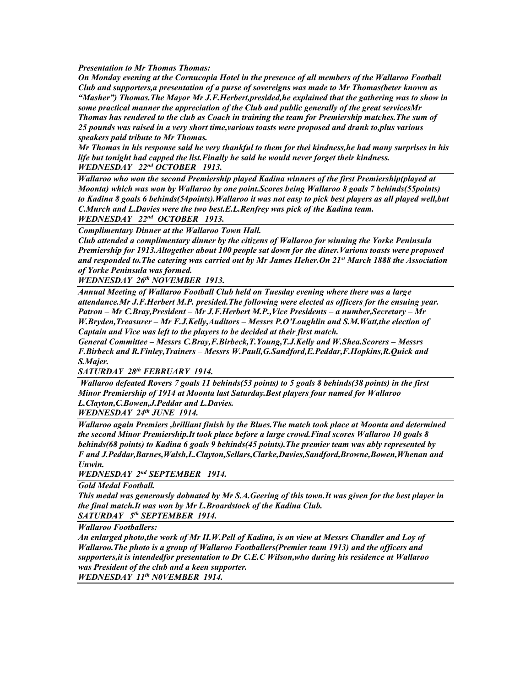*Presentation to Mr Thomas Thomas:*

*On Monday evening at the Cornucopia Hotel in the presence of all members of the Wallaroo Football Club and supporters,a presentation of a purse of sovereigns was made to Mr Thomas(beter known as "Masher") Thomas.The Mayor Mr J.F.Herbert,presided,he explained that the gathering was to show in some practical manner the appreciation of the Club and public generally of the great servicesMr Thomas has rendered to the club as Coach in training the team for Premiership matches.The sum of 25 pounds was raised in a very short time,various toasts were proposed and drank to,plus various speakers paid tribute to Mr Thomas.*

*Mr Thomas in his response said he very thankful to them for thei kindness,he had many surprises in his life but tonight had capped the list.Finally he said he would never forget their kindness. WEDNESDAY 22nd OCTOBER 1913.*

*Wallaroo who won the second Premiership played Kadina winners of the first Premiership(played at Moonta) which was won by Wallaroo by one point.Scores being Wallaroo 8 goals 7 behinds(55points) to Kadina 8 goals 6 behinds(54points).Wallaroo it was not easy to pick best players as all played well,but C.Murch and L.Davies were the two best.E.L.Renfrey was pick of the Kadina team.*

*WEDNESDAY 22nd OCTOBER 1913.*

*Complimentary Dinner at the Wallaroo Town Hall.*

*Club attended a complimentary dinner by the citizens of Wallaroo for winning the Yorke Peninsula Premiership for 1913.Altogether about 100 people sat down for the diner.Various toasts were proposed and responded to.The catering was carried out by Mr James Heher.On 21st March 1888 the Association of Yorke Peninsula was formed.*

*WEDNESDAY 26th NOVEMBER 1913.*

*Annual Meeting of Wallaroo Football Club held on Tuesday evening where there was a large attendance.Mr J.F.Herbert M.P. presided.The following were elected as officers for the ensuing year. Patron – Mr C.Bray,President – Mr J.F.Herbert M.P.,Vice Presidents – a number,Secretary – Mr W.Bryden,Treasurer – Mr F.J.Kelly,Auditors – Messrs P.O'Loughlin and S.M.Watt,the election of Captain and Vice was left to the players to be decided at their first match.*

*General Committee – Messrs C.Bray,F.Birbeck,T.Young,T.J.Kelly and W.Shea.Scorers – Messrs F.Birbeck and R.Finley,Trainers – Messrs W.Paull,G.Sandford,E.Peddar,F.Hopkins,R.Quick and S.Majer.*

*SATURDAY 28th FEBRUARY 1914.*

*Wallaroo defeated Rovers 7 goals 11 behinds(53 points) to 5 goals 8 behinds(38 points) in the first Minor Premiership of 1914 at Moonta last Saturday.Best players four named for Wallaroo L.Clayton,C.Bowen,J.Peddar and L.Davies.*

*WEDNESDAY 24th JUNE 1914.*

*Wallaroo again Premiers ,brilliant finish by the Blues.The match took place at Moonta and determined the second Minor Premiership.It took place before a large crowd.Final scores Wallaroo 10 goals 8 behinds(68 points) to Kadina 6 goals 9 behinds(45 points).The premier team was ably represented by F and J.Peddar,Barnes,Walsh,L.Clayton,Sellars,Clarke,Davies,Sandford,Browne,Bowen,Whenan and Unwin.*

*WEDNESDAY 2nd SEPTEMBER 1914.*

*Gold Medal Football.*

*This medal was generously dobnated by Mr S.A.Geering of this town.It was given for the best player in the final match.It was won by Mr L.Broardstock of the Kadina Club. SATURDAY 5th SEPTEMBER 1914.*

*Wallaroo Footballers:*

*An enlarged photo,the work of Mr H.W.Pell of Kadina, is on view at Messrs Chandler and Loy of Wallaroo.The photo is a group of Wallaroo Footballers(Premier team 1913) and the officers and supporters,it is intendedfor presentation to Dr C.E.C Wilson,who during his residence at Wallaroo was President of the club and a keen supporter.*

*WEDNESDAY 11th N0VEMBER 1914.*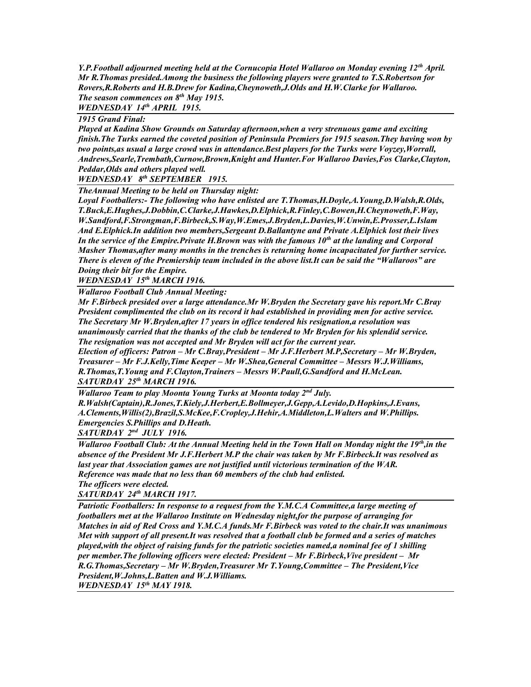*Y.P.Football adjourned meeting held at the Cornucopia Hotel Wallaroo on Monday evening 12th April. Mr R.Thomas presided.Among the business the following players were granted to T.S.Robertson for Rovers,R.Roberts and H.B.Drew for Kadina,Cheynoweth,J.Olds and H.W.Clarke for Wallaroo. The season commences on 8th May 1915.*

*WEDNESDAY 14th APRIL 1915.*

*1915 Grand Final:*

*Played at Kadina Show Grounds on Saturday afternoon,when a very strenuous game and exciting finish.The Turks earned the coveted position of Peninsula Premiers for 1915 season.They having won by two points,as usual a large crowd was in attendance.Best players for the Turks were Voyzey,Worrall, Andrews,Searle,Trembath,Curnow,Brown,Knight and Hunter.For Wallaroo Davies,Fos Clarke,Clayton, Peddar,Olds and others played well.*

*WEDNESDAY 8th SEPTEMBER 1915.*

*TheAnnual Meeting to be held on Thursday night:*

*Loyal Footballers:- The following who have enlisted are T.Thomas,H.Doyle,A.Young,D.Walsh,R.Olds, T.Buck,E.Hughes,J.Dobbin,C.Clarke,J.Hawkes,D.Elphick,R.Finley,C.Bowen,H.Cheynoweth,F.Way, W.Sandford,F.Strongman,F.Birbeck,S.Way,W.Emes,J.Bryden,L.Davies,W.Unwin,E.Prosser,L.Islam And E.Elphick.In addition two members,Sergeant D.Ballantyne and Private A.Elphick lost their lives In the service of the Empire.Private H.Brown was with the famous 10th at the landing and Corporal Masher Thomas,after many months in the trenches is returning home incapacitated for further service. There is eleven of the Premiership team included in the above list.It can be said the "Wallaroos" are Doing their bit for the Empire.*

*WEDNESDAY 15th MARCH 1916.*

*Wallaroo Football Club Annual Meeting:*

*Mr F.Birbeck presided over a large attendance.Mr W.Bryden the Secretary gave his report.Mr C.Bray President complimented the club on its record it had established in providing men for active service. The Secretary Mr W.Bryden,after 17 years in office tendered his resignation,a resolution was unanimously carried that the thanks of the club be tendered to Mr Bryden for his splendid service. The resignation was not accepted and Mr Bryden will act for the current year.*

*Election of officers: Patron – Mr C.Bray,President – Mr J.F.Herbert M.P,Secretary – Mr W.Bryden, Treasurer – Mr F.J.Kelly,Time Keeper – Mr W.Shea,General Committee – Messrs W.J.Williams, R.Thomas,T.Young and F.Clayton,Trainers – Messrs W.Paull,G.Sandford and H.McLean. SATURDAY 25th MARCH 1916.*

*Wallaroo Team to play Moonta Young Turks at Moonta today 2nd July.*

*R.Walsh(Captain),R.Jones,T.Kiely,J.Herbert,E.Bollmeyer,J.Gepp,A.Levido,D.Hopkins,J.Evans, A.Clements,Willis(2),Brazil,S.McKee,F.Cropley,J.Hehir,A.Middleton,L.Walters and W.Phillips. Emergencies S.Phillips and D.Heath.*

*SATURDAY 2nd JULY 1916.*

*Wallaroo Football Club: At the Annual Meeting held in the Town Hall on Monday night the 19th,in the absence of the President Mr J.F.Herbert M.P the chair was taken by Mr F.Birbeck.It was resolved as last year that Association games are not justified until victorious termination of the WAR. Reference was made that no less than 60 members of the club had enlisted. The officers were elected.*

*SATURDAY 24th MARCH 1917.*

*Patriotic Footballers: In response to a request from the Y.M.C.A Committee,a large meeting of footballers met at the Wallaroo Institute on Wednesday night,for the purpose of arranging for Matches in aid of Red Cross and Y.M.C.A funds.Mr F.Birbeck was voted to the chair.It was unanimous Met with support of all present.It was resolved that a football club be formed and a series of matches played,with the object of raising funds for the patriotic societies named,a nominal fee of 1 shilling per member.The following officers were elected: President – Mr F.Birbeck,Vive president – Mr R.G.Thomas,Secretary – Mr W.Bryden,Treasurer Mr T.Young,Committee – The President,Vice President,W.Johns,L.Batten and W.J.Williams. WEDNESDAY 15th MAY 1918.*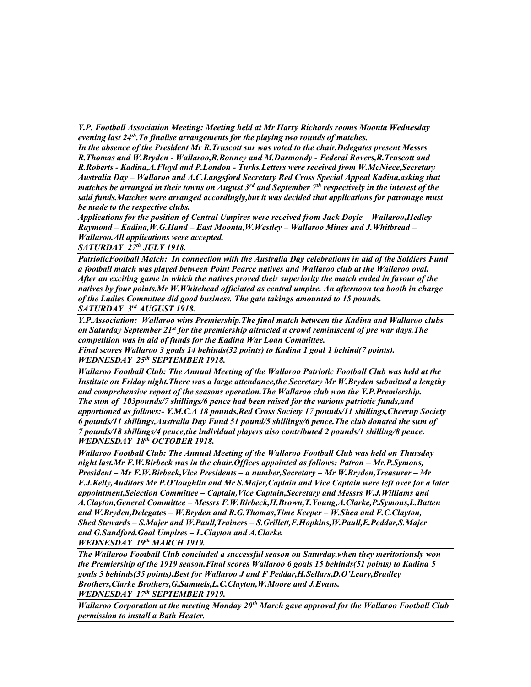*Y.P. Football Association Meeting: Meeting held at Mr Harry Richards rooms Moonta Wednesday evening last 24th.To finalise arrangements for the playing two rounds of matches.*

*In the absence of the President Mr R.Truscott snr was voted to the chair.Delegates present Messrs R.Thomas and W.Bryden - Wallaroo,R.Bonney and M.Darmondy - Federal Rovers,R.Truscott and R.Roberts - Kadina,A.Floyd and P.London - Turks.Letters were received from W.McNiece,Secretary Australia Day – Wallaroo and A.C.Langsford Secretary Red Cross Special Appeal Kadina,asking that matches be arranged in their towns on August 3rd and September 7th respectively in the interest of the said funds.Matches were arranged accordingly,but it was decided that applications for patronage must be made to the respective clubs.*

Applications for the position of Central Umpires were received from Jack Doyle – Wallaroo, Hedley *Raymond – Kadina,W.G.Hand – East Moonta,W.Westley – Wallaroo Mines and J.Whitbread – Wallaroo.All applications were accepted.*

*SATURDAY 27th JULY 1918.*

*PatrioticFootball Match: In connection with the Australia Day celebrations in aid of the Soldiers Fund a football match was played between Point Pearce natives and Wallaroo club at the Wallaroo oval. After an exciting game in which the natives proved their superiority the match ended in favour of the natives by four points.Mr W.Whitehead officiated as central umpire. An afternoon tea booth in charge of the Ladies Committee did good business. The gate takings amounted to 15 pounds. SATURDAY 3rd AUGUST 1918.*

*Y.P.Association: Wallaroo wins Premiership.The final match between the Kadina and Wallaroo clubs on Saturday September 21st for the premiership attracted a crowd reminiscent of pre war days.The competition was in aid of funds for the Kadina War Loan Committee.*

*Final scores Wallaroo 3 goals 14 behinds(32 points) to Kadina 1 goal 1 behind(7 points). WEDNESDAY 25th SEPTEMBER 1918.*

*Wallaroo Football Club: The Annual Meeting of the Wallaroo Patriotic Football Club was held at the Institute on Friday night.There was a large attendance,the Secretary Mr W.Bryden submitted a lengthy and comprehensive report of the seasons operation.The Wallaroo club won the Y.P.Premiership. The sum of 103pounds/7 shillings/6 pence had been raised for the various patriotic funds,and apportioned as follows:- Y.M.C.A 18 pounds,Red Cross Society 17 pounds/11 shillings,Cheerup Society 6 pounds/11 shillings,Australia Day Fund 51 pound/5 shillings/6 pence.The club donated the sum of 7 pounds/18 shillings/4 pence,the individual players also contributed 2 pounds/1 shilling/8 pence. WEDNESDAY 18th OCTOBER 1918.*

*Wallaroo Football Club: The Annual Meeting of the Wallaroo Football Club was held on Thursday night last.Mr F.W.Birbeck was in the chair.Offices appointed as follows: Patron - Mr.P.Symons, President – Mr F.W.Birbeck,Vice Presidents – a number,Secretary – Mr W.Bryden,Treasurer – Mr F.J.Kelly,Auditors Mr P.O'loughlin and Mr S.Majer,Captain and Vice Captain were left over for a later appointment,Selection Committee – Captain,Vice Captain,Secretary and Messrs W.J.Williams and A.Clayton,General Committee – Messrs F.W.Birbeck,H.Brown,T.Young,A.Clarke,P.Symons,L.Batten and W.Bryden,Delegates – W.Bryden and R.G.Thomas,Time Keeper – W.Shea and F.C.Clayton, Shed Stewards – S.Majer and W.Paull,Trainers – S.Grillett,F.Hopkins,W.Paull,E.Peddar,S.Majer and G.Sandford.Goal Umpires – L.Clayton and A.Clarke. WEDNESDAY 19th MARCH 1919.*

*The Wallaroo Football Club concluded a successful season on Saturday,when they meritoriously won the Premiership of the 1919 season.Final scores Wallaroo 6 goals 15 behinds(51 points) to Kadina 5 goals 5 behinds(35 points).Best for Wallaroo J and F Peddar,H.Sellars,D.O'Leary,Bradley Brothers,Clarke Brothers,G.Samuels,L.C.Clayton,W.Moore and J.Evans. WEDNESDAY 17th SEPTEMBER 1919.*

*Wallaroo Corporation at the meeting Monday 20th March gave approval for the Wallaroo Football Club permission to install a Bath Heater.*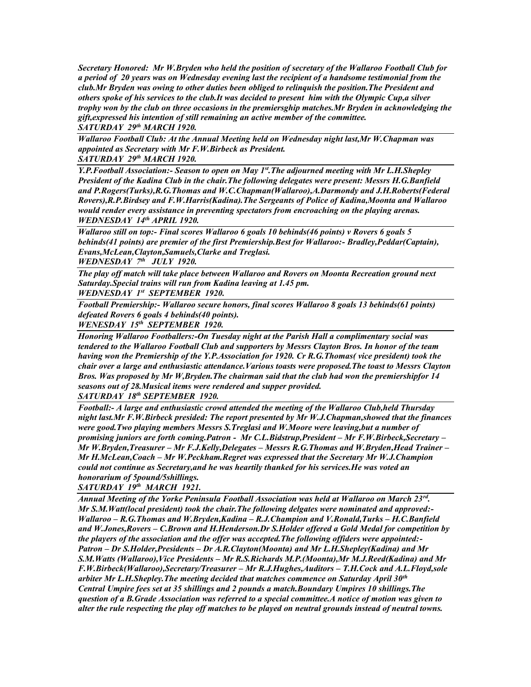*Secretary Honored: Mr W.Bryden who held the position of secretary of the Wallaroo Football Club for a period of 20 years was on Wednesday evening last the recipient of a handsome testimonial from the club.Mr Bryden was owing to other duties been obliged to relinquish the position.The President and others spoke of his services to the club.It was decided to present him with the Olympic Cup,a silver trophy won by the club on three occasions in the premiersghip matches.Mr Bryden in acknowledging the gift,expressed his intention of still remaining an active member of the committee. SATURDAY 29th MARCH 1920.*

*Wallaroo Football Club: At the Annual Meeting held on Wednesday night last,Mr W.Chapman was appointed as Secretary with Mr F.W.Birbeck as President.*

*SATURDAY 29th MARCH 1920.*

*Y.P.Football Association:- Season to open on May 1st.The adjourned meeting with Mr L.H.Shepley President of the Kadina Club in the chair.The following delegates were present: Messrs H.G.Banfield and P.Rogers(Turks),R.G.Thomas and W.C.Chapman(Wallaroo),A.Darmondy and J.H.Roberts(Federal Rovers),R.P.Birdsey and F.W.Harris(Kadina).The Sergeants of Police of Kadina,Moonta and Wallaroo would render every assistance in preventing spectators from encroaching on the playing arenas. WEDNESDAY 14th APRIL 1920.*

*Wallaroo still on top:- Final scores Wallaroo 6 goals 10 behinds(46 points) v Rovers 6 goals 5 behinds(41 points) are premier of the first Premiership.Best for Wallaroo:- Bradley,Peddar(Captain), Evans,McLean,Clayton,Samuels,Clarke and Treglasi.*

*WEDNESDAY 7th JULY 1920.*

*The play off match will take place between Wallaroo and Rovers on Moonta Recreation ground next Saturday.Special trains will run from Kadina leaving at 1.45 pm.*

*WEDNESDAY 1st SEPTEMBER 1920.*

*Football Premiership:- Wallaroo secure honors, final scores Wallaroo 8 goals 13 behinds(61 points) defeated Rovers 6 goals 4 behinds(40 points).*

*WENESDAY 15th SEPTEMBER 1920.*

*Honoring Wallaroo Footballers:-On Tuesday night at the Parish Hall a complimentary social was tendered to the Wallaroo Football Club and supporters by Messrs Clayton Bros. In honor of the team having won the Premiership of the Y.P.Association for 1920. Cr R.G.Thomas( vice president) took the chair over a large and enthusiastic attendance.Various toasts were proposed.The toast to Messrs Clayton Bros. Was proposed by Mr W,Bryden.The chairman said that the club had won the premiershipfor 14 seasons out of 28.Musical items were rendered and supper provided. SATURDAY 18th SEPTEMBER 1920.*

*Football:- A large and enthusiastic crowd attended the meeting of the Wallaroo Club,held Thursday night last.Mr F.W.Birbeck presided: The report presented by Mr W.J.Chapman,showed that the finances were good.Two playing members Messrs S.Treglasi and W.Moore were leaving,but a number of promising juniors are forth coming.Patron - Mr C.L.Bidstrup,President – Mr F.W.Birbeck,Secretary – Mr W.Bryden,Treasurer – Mr F.J.Kelly,Delegates – Messrs R.G.Thomas and W.Bryden,Head Trainer – Mr H.McLean,Coach – Mr W.Peckham.Regret was expressed that the Secretary Mr W.J.Champion could not continue as Secretary,and he was heartily thanked for his services.He was voted an honorarium of 5pound/5shillings.*

*SATURDAY 19th MARCH 1921.*

*Annual Meeting of the Yorke Peninsula Football Association was held at Wallaroo on March 23rd . Mr S.M.Watt(local president) took the chair.The following delgates were nominated and approved:- Wallaroo – R.G.Thomas and W.Bryden,Kadina – R.J.Champion and V.Ronald,Turks – H.C.Banfield and W.Jones,Rovers – C.Brown and H.Henderson.Dr S.Holder offered a Gold Medal for competition by the players of the association and the offer was accepted.The following offiders were appointed:- Patron – Dr S.Holder,Presidents – Dr A.R.Clayton(Moonta) and Mr L.H.Shepley(Kadina) and Mr S.M.Watts (Wallaroo),Vice Presidents – Mr R.S.Richards M.P.(Moonta),Mr M.J.Reed(Kadina) and Mr F.W.Birbeck(Wallaroo),Secretary/Treasurer – Mr R.J.Hughes,Auditors – T.H.Cock and A.L.Floyd,sole arbiter Mr L.H.Shepley.The meeting decided that matches commence on Saturday April 30th Central Umpire fees set at 35 shillings and 2 pounds a match.Boundary Umpires 10 shillings.The question of a B.Grade Association was referred to a special committee.A notice of motion was given to alter the rule respecting the play off matches to be played on neutral grounds instead of neutral towns.*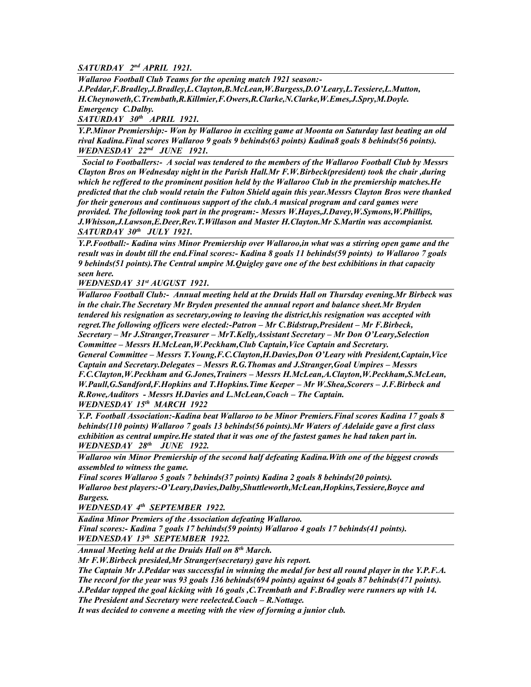*SATURDAY 2nd APRIL 1921.*

*Wallaroo Football Club Teams for the opening match 1921 season:- J.Peddar,F.Bradley,J.Bradley,L.Clayton,B.McLean,W.Burgess,D.O'Leary,L.Tessiere,L.Mutton, H.Cheynoweth,C.Trembath,R.Killmier,F.Owers,R.Clarke,N.Clarke,W.Emes,J.Spry,M.Doyle. Emergency C.Dalby.*

*SATURDAY 30th APRIL 1921.*

*Y.P.Minor Premiership:- Won by Wallaroo in exciting game at Moonta on Saturday last beating an old rival Kadina.Final scores Wallaroo 9 goals 9 behinds(63 points) Kadina8 goals 8 behinds(56 points). WEDNESDAY 22nd JUNE 1921.*

 *Social to Footballers:- A social was tendered to the members of the Wallaroo Football Club by Messrs Clayton Bros on Wednesday night in the Parish Hall.Mr F.W.Birbeck(president) took the chair ,during which he reffered to the prominent position held by the Wallaroo Club in the premiership matches.He predicted that the club would retain the Fulton Shield again this year.Messrs Clayton Bros were thanked for their generous and continuous support of the club.A musical program and card games were provided. The following took part in the program:- Messrs W.Hayes,J.Davey,W.Symons,W.Phillips, J.Whisson,J.Lawson,E.Deer,Rev.T.Willason and Master H.Clayton.Mr S.Martin was accompianist. SATURDAY 30th JULY 1921.*

*Y.P.Football:- Kadina wins Minor Premiership over Wallaroo,in what was a stirring open game and the result was in doubt till the end.Final scores:- Kadina 8 goals 11 behinds(59 points) to Wallaroo 7 goals 9 behinds(51 points).The Central umpire M.Quigley gave one of the best exhibitions in that capacity seen here.*

*WEDNESDAY 31st AUGUST 1921.*

*Wallaroo Football Club:- Annual meeting held at the Druids Hall on Thursday evening.Mr Birbeck was in the chair.The Secretary Mr Bryden presented the annual report and balance sheet.Mr Bryden tendered his resignation as secretary,owing to leaving the district,his resignation was accepted with regret.The following officers were elected:-Patron – Mr C.Bidstrup,President – Mr F.Birbeck, Secretary – Mr J.Stranger,Treasurer – MrT.Kelly,Assistant Secretary – Mr Don O'Leary,Selection Committee – Messrs H.McLean,W.Peckham,Club Captain,Vice Captain and Secretary. General Committee – Messrs T.Young,F.C.Clayton,H.Davies,Don O'Leary with President,Captain,Vice Captain and Secretary.Delegates – Messrs R.G.Thomas and J.Stranger,Goal Umpires – Messrs F.C.Clayton,W.Peckham and G.Jones,Trainers – Messrs H.McLean,A.Clayton,W.Peckham,S.McLean, W.Paull,G.Sandford,F.Hopkins and T.Hopkins.Time Keeper – Mr W.Shea,Scorers – J.F.Birbeck and R.Rowe,Auditors - Messrs H.Davies and L.McLean,Coach – The Captain. WEDNESDAY 15th MARCH 1922*

*Y.P. Football Association:-Kadina beat Wallaroo to be Minor Premiers.Final scores Kadina 17 goals 8 behinds(110 points) Wallaroo 7 goals 13 behinds(56 points).Mr Waters of Adelaide gave a first class exhibition as central umpire.He stated that it was one of the fastest games he had taken part in. WEDNESDAY 28th JUNE 1922.*

*Wallaroo win Minor Premiership of the second half defeating Kadina.With one of the biggest crowds assembled to witness the game.*

*Final scores Wallaroo 5 goals 7 behinds(37 points) Kadina 2 goals 8 behinds(20 points). Wallaroo best players:-O'Leary,Davies,Dalby,Shuttleworth,McLean,Hopkins,Tessiere,Boyce and Burgess.*

*WEDNESDAY 4th SEPTEMBER 1922.*

*Kadina Minor Premiers of the Association defeating Wallaroo.*

*Final scores:- Kadina 7 goals 17 behinds(59 points) Wallaroo 4 goals 17 behinds(41 points). WEDNESDAY 13th SEPTEMBER 1922.*

*Annual Meeting held at the Druids Hall on 8th March.*

*Mr F.W.Birbeck presided,Mr Stranger(secretary) gave his report.*

*The Captain Mr J.Peddar was successful in winning the medal for best all round player in the Y.P.F.A. The record for the year was 93 goals 136 behinds(694 points) against 64 goals 87 behinds(471 points).*

*J.Peddar topped the goal kicking with 16 goals ,C.Trembath and F.Bradley were runners up with 14. The President and Secretary were reelected.Coach – R.Nottage.* 

*It was decided to convene a meeting with the view of forming a junior club.*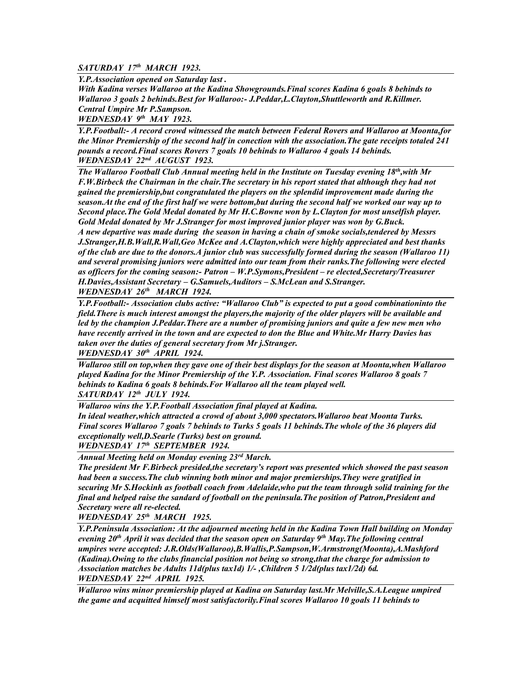## *SATURDAY 17th MARCH 1923.*

*Y.P.Association opened on Saturday last .*

*With Kadina verses Wallaroo at the Kadina Showgrounds.Final scores Kadina 6 goals 8 behinds to Wallaroo 3 goals 2 behinds.Best for Wallaroo:- J.Peddar,L.Clayton,Shuttleworth and R.Killmer. Central Umpire Mr P.Sampson.*

*WEDNESDAY 9th MAY 1923.*

*Y.P.Football:- A record crowd witnessed the match between Federal Rovers and Wallaroo at Moonta,for the Minor Premiership of the second half in conection with the association.The gate receipts totaled 241 pounds a record.Final scores Rovers 7 goals 10 behinds to Wallaroo 4 goals 14 behinds. WEDNESDAY 22nd AUGUST 1923.*

*The Wallaroo Football Club Annual meeting held in the Institute on Tuesday evening 18th,with Mr F.W.Birbeck the Chairman in the chair.The secretary in his report stated that although they had not gained the premiership,but congratulated the players on the splendid improvement made during the season.At the end of the first half we were bottom,but during the second half we worked our way up to Second place.The Gold Medal donated by Mr H.C.Bowne won by L.Clayton for most unselfish player. Gold Medal donated by Mr J.Stranger for most improved junior player was won by G.Buck. A new departive was made during the season in having a chain of smoke socials,tendered by Messrs J.Stranger,H.B.Wall,R.Wall,Geo McKee and A.Clayton,which were highly appreciated and best thanks of the club are due to the donors.A junior club was successfully formed during the season (Wallaroo 11) and several promising juniors were admitted into our team from their ranks.The following were elected as officers for the coming season:- Patron – W.P.Symons,President – re elected,Secretary/Treasurer H.Davies,Assistant Secretary – G.Samuels,Auditors – S.McLean and S.Stranger.* 

*WEDNESDAY 26th MARCH 1924.*

*Y.P.Football:- Association clubs active: "Wallaroo Club" is expected to put a good combinationinto the field.There is much interest amongst the players,the majority of the older players will be available and led by the champion J.Peddar.There are a number of promising juniors and quite a few new men who have recently arrived in the town and are expected to don the Blue and White.Mr Harry Davies has taken over the duties of general secretary from Mr j.Stranger. WEDNESDAY 30th APRIL 1924.*

*Wallaroo still on top,when they gave one of their best displays for the season at Moonta,when Wallaroo played Kadina for the Minor Premiership of the Y.P. Association. Final scores Wallaroo 8 goals 7 behinds to Kadina 6 goals 8 behinds.For Wallaroo all the team played well.*

*SATURDAY 12th JULY 1924.*

*Wallaroo wins the Y.P.Football Association final played at Kadina.*

*In ideal weather,which attracted a crowd of about 3,000 spectators.Wallaroo beat Moonta Turks. Final scores Wallaroo 7 goals 7 behinds to Turks 5 goals 11 behinds.The whole of the 36 players did exceptionally well,D.Searle (Turks) best on ground.*

*WEDNESDAY 17th SEPTEMBER 1924.* 

*Annual Meeting held on Monday evening 23rd March.*

*The president Mr F.Birbeck presided,the secretary's report was presented which showed the past season had been a success.The club winning both minor and major premierships.They were gratified in securing Mr S.Hockinh as football coach from Adelaide,who put the team through solid training for the final and helped raise the sandard of football on the peninsula.The position of Patron,President and Secretary were all re-elected.*

*WEDNESDAY 25th MARCH 1925.*

*Y.P.Peninsula Association: At the adjourned meeting held in the Kadina Town Hall building on Monday evening 20th April it was decided that the season open on Saturday 9th May.The following central umpires were accepted: J.R.Olds(Wallaroo),B.Wallis,P.Sampson,W.Armstrong(Moonta),A.Mashford (Kadina).Owing to the clubs financial position not being so strong,that the charge for admission to Association matches be Adults 11d(plus tax1d) 1/- ,Children 5 1/2d(plus tax1/2d) 6d. WEDNESDAY 22nd APRIL 1925.*

*Wallaroo wins minor premiership played at Kadina on Saturday last.Mr Melville,S.A.League umpired the game and acquitted himself most satisfactorily.Final scores Wallaroo 10 goals 11 behinds to*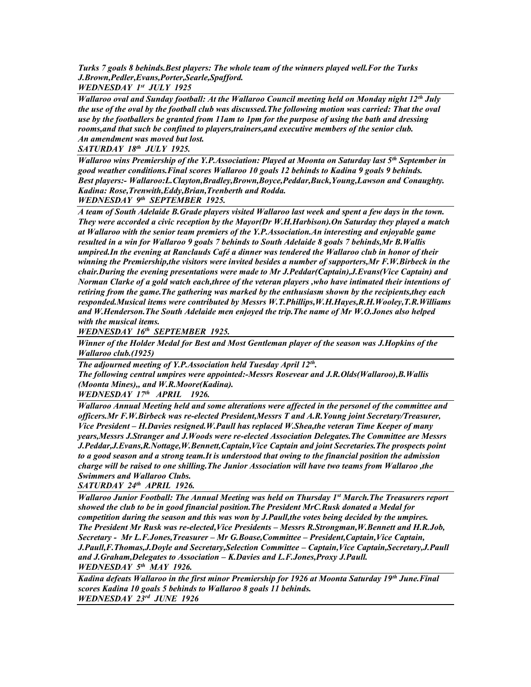*Turks 7 goals 8 behinds.Best players: The whole team of the winners played well.For the Turks J.Brown,Pedler,Evans,Porter,Searle,Spafford. WEDNESDAY 1st JULY 1925*

*Wallaroo oval and Sunday football: At the Wallaroo Council meeting held on Monday night 12th July the use of the oval by the football club was discussed.The following motion was carried: That the oval use by the footballers be granted from 11am to 1pm for the purpose of using the bath and dressing rooms,and that such be confined to players,trainers,and executive members of the senior club. An amendment was moved but lost.*

*SATURDAY 18th JULY 1925.*

*Wallaroo wins Premiership of the Y.P.Association: Played at Moonta on Saturday last 5th September in good weather conditions.Final scores Wallaroo 10 goals 12 behinds to Kadina 9 goals 9 behinds. Best players:- Wallaroo:L.Clayton,Bradley,Brown,Boyce,Peddar,Buck,Young,Lawson and Conaughty. Kadina: Rose,Trenwith,Eddy,Brian,Trenberth and Rodda.*

*WEDNESDAY 9th SEPTEMBER 1925.*

*A team of South Adelaide B.Grade players visited Wallaroo last week and spent a few days in the town. They were accorded a civic reception by the Mayor(Dr W.H.Harbison).On Saturday they played a match at Wallaroo with the senior team premiers of the Y.P.Association.An interesting and enjoyable game resulted in a win for Wallaroo 9 goals 7 behinds to South Adelaide 8 goals 7 behinds,Mr B.Wallis umpired.In the evening at Ranclauds Café a dinner was tendered the Wallaroo club in honor of their winning the Premiership,the visitors were invited besides a number of supporters,Mr F.W.Birbeck in the chair.During the evening presentations were made to Mr J.Peddar(Captain),J.Evans(Vice Captain) and Norman Clarke of a gold watch each,three of the veteran players ,who have intimated their intentions of retiring from the game.The gathering was marked by the enthusiasm shown by the recipients,they each responded.Musical items were contributed by Messrs W.T.Phillips,W.H.Hayes,R.H.Wooley,T.R.Williams and W.Henderson.The South Adelaide men enjoyed the trip.The name of Mr W.O.Jones also helped with the musical items.*

*WEDNESDAY 16th SEPTEMBER 1925.*

*Winner of the Holder Medal for Best and Most Gentleman player of the season was J.Hopkins of the Wallaroo club.(1925)*

*The adjourned meeting of Y.P.Association held Tuesday April 12th . The following central umpires were appointed:-Messrs Rosevear and J.R.Olds(Wallaroo),B.Wallis (Moonta Mines),, and W.R.Moore(Kadina). WEDNESDAY 17th APRIL 1926.*

*Wallaroo Annual Meeting held and some alterations were affected in the personel of the committee and officers.Mr F.W.Birbeck was re-elected President,Messrs T and A.R.Young joint Secretary/Treasurer, Vice President – H.Davies resigned.W.Paull has replaced W.Shea,the veteran Time Keeper of many years,Messrs J.Stranger and J.Woods were re-elected Association Delegates.The Committee are Messrs J.Peddar,J.Evans,R.Nottage,W.Bennett,Captain,Vice Captain and joint Secretaries.The prospects point to a good season and a strong team.It is understood that owing to the financial position the admission charge will be raised to one shilling.The Junior Association will have two teams from Wallaroo ,the Swimmers and Wallaroo Clubs.*

*SATURDAY 24th APRIL 1926.*

*Wallaroo Junior Football: The Annual Meeting was held on Thursday 1st March.The Treasurers report showed the club to be in good financial position.The President MrC.Rusk donated a Medal for competition during the season and this was won by J.Paull,the votes being decided by the umpires. The President Mr Rusk was re-elected,Vice Presidents – Messrs R.Strongman,W.Bennett and H.R.Job, Secretary - Mr L.F.Jones,Treasurer – Mr G.Boase,Committee – President,Captain,Vice Captain, J.Paull,F.Thomas,J.Doyle and Secretary,Selection Committee – Captain,Vice Captain,Secretary,J.Paull and J.Graham,Delegates to Association – K.Davies and L.F.Jones,Proxy J.Paull. WEDNESDAY 5th MAY 1926.*

*Kadina defeats Wallaroo in the first minor Premiership for 1926 at Moonta Saturday 19th June.Final scores Kadina 10 goals 5 behinds to Wallaroo 8 goals 11 behinds. WEDNESDAY 23rd JUNE 1926*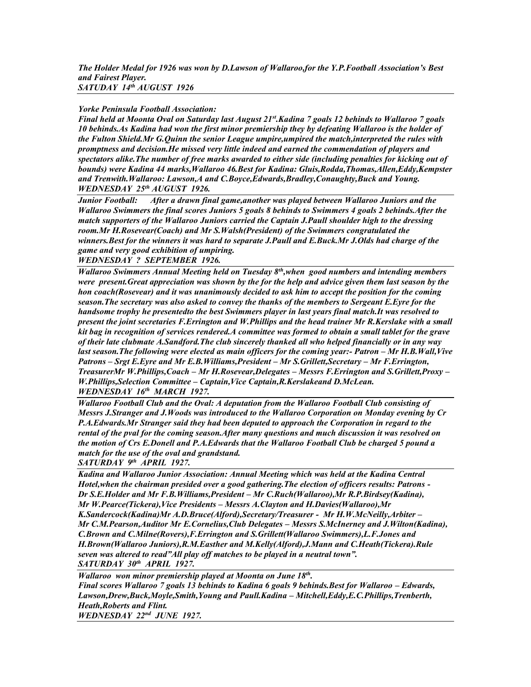# *Yorke Peninsula Football Association:*

*Final held at Moonta Oval on Saturday last August 21st.Kadina 7 goals 12 behinds to Wallaroo 7 goals 10 behinds.As Kadina had won the first minor premiership they by defeating Wallaroo is the holder of the Fulton Shield.Mr G.Quinn the senior League umpire,umpired the match,interpreted the rules with promptness and decision.He missed very little indeed and earned the commendation of players and spectators alike.The number of free marks awarded to either side (including penalties for kicking out of bounds) were Kadina 44 marks,Wallaroo 46.Best for Kadina: Gluis,Rodda,Thomas,Allen,Eddy,Kempster and Trenwith.Wallaroo: Lawson,A and C.Boyce,Edwards,Bradley,Conaughty,Buck and Young. WEDNESDAY 25th AUGUST 1926.*

*Junior Football: After a drawn final game,another was played between Wallaroo Juniors and the Wallaroo Swimmers the final scores Juniors 5 goals 8 behinds to Swimmers 4 goals 2 behinds.After the match supporters of the Wallaroo Juniors carried the Captain J.Paull shoulder high to the dressing room.Mr H.Rosevear(Coach) and Mr S.Walsh(President) of the Swimmers congratulated the winners.Best for the winners it was hard to separate J.Paull and E.Buck.Mr J.Olds had charge of the game and very good exhibition of umpiring.*

*WEDNESDAY ? SEPTEMBER 1926.*

*Wallaroo Swimmers Annual Meeting held on Tuesday 8th,when good numbers and intending members were present.Great appreciation was shown by the for the help and advice given them last season by the hon coach(Rosevear) and it was unanimously decided to ask him to accept the position for the coming season.The secretary was also asked to convey the thanks of the members to Sergeant E.Eyre for the handsome trophy he presentedto the best Swimmers player in last years final match.It was resolved to present the joint secretaries F.Errington and W.Phillips and the head trainer Mr R.Kerslake with a small kit bag in recognition of services rendered.A committee was formed to obtain a small tablet for the grave of their late clubmate A.Sandford.The club sincerely thanked all who helped financially or in any way last season.The following were elected as main officers for the coming year:- Patron – Mr H.B.Wall,Vive Patrons – Srgt E.Eyre and Mr E.B.Williams,President – Mr S.Grillett,Secretary – Mr F.Errington, TreasurerMr W.Phillips,Coach – Mr H.Rosevear,Delegates – Messrs F.Errington and S.Grillett,Proxy – W.Phillips,Selection Committee – Captain,Vice Captain,R.Kerslakeand D.McLean. WEDNESDAY 16th MARCH 1927.*

*Wallaroo Football Club and the Oval: A deputation from the Wallaroo Football Club consisting of Messrs J.Stranger and J.Woods was introduced to the Wallaroo Corporation on Monday evening by Cr P.A.Edwards.Mr Stranger said they had been deputed to approach the Corporation in regard to the rental of the pval for the coming season.After many questions and much discussion it was resolved on the motion of Crs E.Donell and P.A.Edwards that the Wallaroo Football Club be charged 5 pound a match for the use of the oval and grandstand.*

*SATURDAY 9th APRIL 1927.*

*Kadina and Wallaroo Junior Association: Annual Meeting which was held at the Kadina Central Hotel,when the chairman presided over a good gathering.The election of officers results: Patrons - Dr S.E.Holder and Mr F.B.Williams,President – Mr C.Ruch(Wallaroo),Mr R.P.Birdsey(Kadina), Mr W.Pearce(Tickera),Vice Presidents – Messrs A.Clayton and H.Davies(Wallaroo),Mr*  K.Sandercock(Kadina)Mr A.D.Bruce(Alford),Secretary/Treasurer - Mr H.W.McNeilly,Arbiter -*Mr C.M.Pearson,Auditor Mr E.Cornelius,Club Delegates – Messrs S.McInerney and J.Wilton(Kadina), C.Brown and C.Milne(Rovers),F.Errington and S.Grillett(Wallaroo Swimmers),L.F.Jones and H.Brown(Wallaroo Juniors),R.M.Easther and M.Kelly(Alford),J.Mann and C.Heath(Tickera).Rule seven was altered to read"All play off matches to be played in a neutral town". SATURDAY 30th APRIL 1927.*

*Wallaroo won minor premiership played at Moonta on June 18th . Final scores Wallaroo 7 goals 13 behinds to Kadina 6 goals 9 behinds. Best for Wallaroo – Edwards, Lawson,Drew,Buck,Moyle,Smith,Young and Paull.Kadina – Mitchell,Eddy,E.C.Phillips,Trenberth, Heath,Roberts and Flint. WEDNESDAY 22nd JUNE 1927.*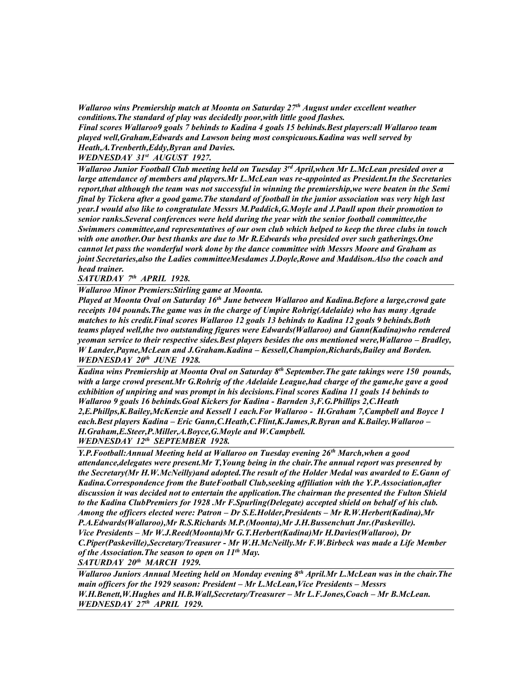*Wallaroo wins Premiership match at Moonta on Saturday 27th August under excellent weather conditions.The standard of play was decidedly poor,with little good flashes.* 

*Final scores Wallaroo9 goals 7 behinds to Kadina 4 goals 15 behinds.Best players:all Wallaroo team played well,Graham,Edwards and Lawson being most conspicuous.Kadina was well served by Heath,A.Trenberth,Eddy,Byran and Davies.*

*WEDNESDAY 31st AUGUST 1927.*

*Wallaroo Junior Football Club meeting held on Tuesday 3rd April,when Mr L.McLean presided over a large attendance of members and players.Mr L.McLean was re-appointed as President.In the Secretaries report,that although the team was not successful in winning the premiership,we were beaten in the Semi final by Tickera after a good game.The standard of football in the junior association was very high last year.I would also like to congratulate Messrs M.Paddick,G.Moyle and J.Paull upon their promotion to senior ranks.Several conferences were held during the year with the senior football committee,the Swimmers committee,and representatives of our own club which helped to keep the three clubs in touch with one another.Our best thanks are due to Mr R.Edwards who presided over such gatherings.One cannot let pass the wonderful work done by the dance committee with Messrs Moore and Graham as joint Secretaries,also the Ladies committeeMesdames J.Doyle,Rowe and Maddison.Also the coach and head trainer.*

*SATURDAY 7th APRIL 1928.*

*Wallaroo Minor Premiers:Stirling game at Moonta.*

*Played at Moonta Oval on Saturday 16th June between Wallaroo and Kadina.Before a large,crowd gate receipts 104 pounds.The game was in the charge of Umpire Rohrig(Adelaide) who has many Agrade matches to his credit.Final scores Wallaroo 12 goals 13 behinds to Kadina 12 goals 9 behinds.Both teams played well,the two outstanding figures were Edwards(Wallaroo) and Gann(Kadina)who rendered yeoman service to their respective sides. Best players besides the ons mentioned were, Wallaroo – Bradley, W Lander,Payne,McLean and J.Graham.Kadina – Kessell,Champion,Richards,Bailey and Borden. WEDNESDAY 20th JUNE 1928.*

*Kadina wins Premiership at Moonta Oval on Saturday 8th September.The gate takings were 150 pounds, with a large crowd present.Mr G.Rohrig of the Adelaide League,had charge of the game,he gave a good exhibition of unpiring and was prompt in his decisions.Final scores Kadina 11 goals 14 behinds to Wallaroo 9 goals 16 behinds.Goal Kickers for Kadina - Barnden 3,F.G.Phillips 2,C.Heath 2,E.Phillps,K.Bailey,McKenzie and Kessell 1 each.For Wallaroo - H.Graham 7,Campbell and Boyce 1 each.Best players Kadina – Eric Gann,C.Heath,C.Flint,K.James,R.Byran and K.Bailey.Wallaroo – H.Graham,E.Steer,P.Miller,A.Boyce,G.Moyle and W.Campbell. WEDNESDAY 12th SEPTEMBER 1928.*

*Y.P.Football:Annual Meeting held at Wallaroo on Tuesday evening 26th March,when a good attendance,delegates were present.Mr T,Young being in the chair.The annual report was presenred by the Secretary(Mr H.W.McNeilly)and adopted.The result of the Holder Medal was awarded to E.Gann of Kadina.Correspondence from the ButeFootball Club,seeking affiliation with the Y.P.Association,after discussion it was decided not to entertain the application.The chairman the presented the Fulton Shield to the Kadina ClubPremiers for 1928 .Mr F.Spurling(Delegate) accepted shield on behalf of his club. Among the officers elected were: Patron – Dr S.E.Holder,Presidents – Mr R.W.Herbert(Kadina),Mr P.A.Edwards(Wallaroo),Mr R.S.Richards M.P.(Moonta),Mr J.H.Bussenchutt Jnr.(Paskeville). Vice Presidents – Mr W.J.Reed(Moonta)Mr G.T.Herbert(Kadina)Mr H.Davies(Wallaroo), Dr C.Piper(Paskeville),Secretary/Treasurer - Mr W.H.McNeilly.Mr F.W.Birbeck was made a Life Member of the Association.The season to open on 11th May. SATURDAY 20th MARCH 1929.*

*Wallaroo Juniors Annual Meeting held on Monday evening 8th April.Mr L.McLean was in the chair.The main officers for the 1929 season: President – Mr L.McLean,Vice Presidents – Messrs W.H.Benett,W.Hughes and H.B.Wall,Secretary/Treasurer – Mr L.F.Jones,Coach – Mr B.McLean. WEDNESDAY 27th APRIL 1929.*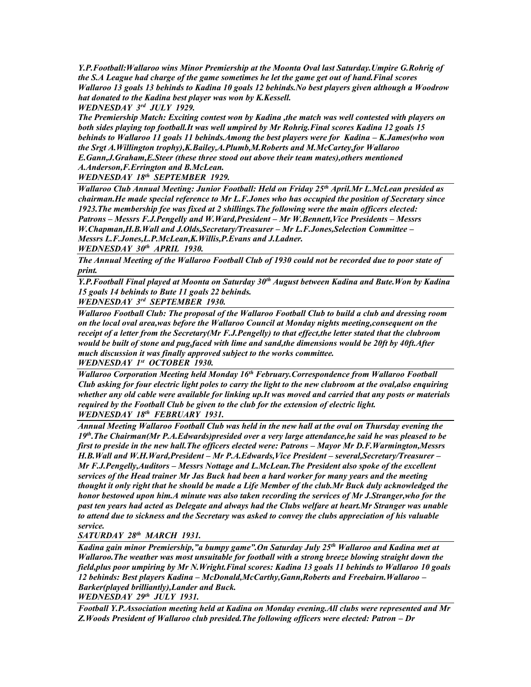*Y.P.Football:Wallaroo wins Minor Premiership at the Moonta Oval last Saturday.Umpire G.Rohrig of the S.A League had charge of the game sometimes he let the game get out of hand.Final scores Wallaroo 13 goals 13 behinds to Kadina 10 goals 12 behinds.No best players given although a Woodrow hat donated to the Kadina best player was won by K.Kessell.*

*WEDNESDAY 3rd JULY 1929.* 

*The Premiership Match: Exciting contest won by Kadina ,the match was well contested with players on both sides playing top football.It was well umpired by Mr Rohrig.Final scores Kadina 12 goals 15 behinds to Wallaroo 11 goals 11 behinds.Among the best players were for Kadina – K.James(who won the Srgt A.Willington trophy),K.Bailey,A.Plumb,M.Roberts and M.McCartey,for Wallaroo E.Gann,J.Graham,E.Steer (these three stood out above their team mates),others mentioned A.Anderson,F.Errington and B.McLean.*

*WEDNESDAY 18th SEPTEMBER 1929.*

*Wallaroo Club Annual Meeting: Junior Football: Held on Friday 25th April.Mr L.McLean presided as chairman.He made special reference to Mr L.F.Jones who has occupied the position of Secretary since 1923.The membership fee was fixed at 2 shillings.The following were the main officers elected: Patrons – Messrs F.J.Pengelly and W.Ward,President – Mr W.Bennett,Vice Presidents – Messrs W.Chapman,H.B.Wall and J.Olds,Secretary/Treasurer – Mr L.F.Jones,Selection Committee – Messrs L.F.Jones,L.P.McLean,K.Willis,P.Evans and J.Ladner.*

*WEDNESDAY 30th APRIL 1930.*

*The Annual Meeting of the Wallaroo Football Club of 1930 could not be recorded due to poor state of print.* 

*Y.P.Football Final played at Moonta on Saturday 30th August between Kadina and Bute.Won by Kadina 15 goals 14 behinds to Bute 11 goals 22 behinds.*

*WEDNESDAY 3rd SEPTEMBER 1930.*

*Wallaroo Football Club: The proposal of the Wallaroo Football Club to build a club and dressing room on the local oval area,was before the Wallaroo Council at Monday nights meeting,consequent on the receipt of a letter from the Secretary(Mr F.J.Pengelly) to that effect,the letter stated that the clubroom would be built of stone and pug,faced with lime and sand,the dimensions would be 20ft by 40ft.After much discussion it was finally approved subject to the works committee.*

*WEDNESDAY 1st OCTOBER 1930.*

*Wallaroo Corporation Meeting held Monday 16th February.Correspondence from Wallaroo Football Club asking for four electric light poles to carry the light to the new clubroom at the oval,also enquiring whether any old cable were available for linking up.It was moved and carried that any posts or materials required by the Football Club be given to the club for the extension of electric light. WEDNESDAY 18th FEBRUARY 1931.*

*Annual Meeting Wallaroo Football Club was held in the new hall at the oval on Thursday evening the 19th.The Chairman(Mr P.A.Edwards)presided over a very large attendance,he said he was pleased to be first to preside in the new hall.The officers elected were: Patrons – Mayor Mr D.F.Warmington,Messrs H.B.Wall and W.H.Ward,President – Mr P.A.Edwards,Vice President – several,Secretary/Treasurer – Mr F.J.Pengelly,Auditors – Messrs Nottage and L.McLean.The President also spoke of the excellent services of the Head trainer Mr Jas Buck had been a hard worker for many years and the meeting thought it only right that he should be made a Life Member of the club.Mr Buck duly acknowledged the honor bestowed upon him.A minute was also taken recording the services of Mr J.Stranger,who for the past ten years had acted as Delegate and always had the Clubs welfare at heart.Mr Stranger was unable to attend due to sickness and the Secretary was asked to convey the clubs appreciation of his valuable service.*

*SATURDAY 28th MARCH 1931.*

*Kadina gain minor Premiership,"a bumpy game".On Saturday July 25th Wallaroo and Kadina met at Wallaroo.The weather was most unsuitable for football with a strong breeze blowing straight down the field,plus poor umpiring by Mr N.Wright.Final scores: Kadina 13 goals 11 behinds to Wallaroo 10 goals 12 behinds: Best players Kadina – McDonald,McCarthy,Gann,Roberts and Freebairn.Wallaroo – Barker(played brilliantly),Lander and Buck.*

*WEDNESDAY 29th JULY 1931.*

*Football Y.P.Association meeting held at Kadina on Monday evening.All clubs were represented and Mr Z.Woods President of Wallaroo club presided.The following officers were elected: Patron – Dr*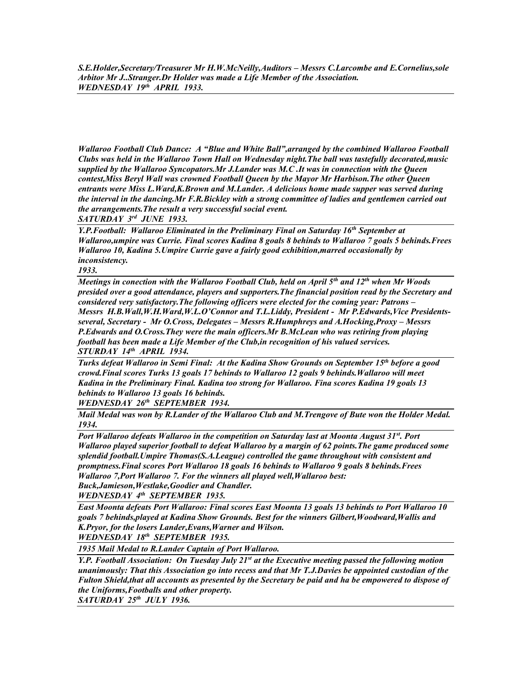*S.E.Holder,Secretary/Treasurer Mr H.W.McNeilly,Auditors – Messrs C.Larcombe and E.Cornelius,sole Arbitor Mr J..Stranger.Dr Holder was made a Life Member of the Association. WEDNESDAY 19th APRIL 1933.*

*Wallaroo Football Club Dance: A "Blue and White Ball",arranged by the combined Wallaroo Football Clubs was held in the Wallaroo Town Hall on Wednesday night.The ball was tastefully decorated,music supplied by the Wallaroo Syncopators.Mr J.Lander was M.C .It was in connection with the Queen contest,Miss Beryl Wall was crowned Football Queen by the Mayor Mr Harbison.The other Queen entrants were Miss L.Ward,K.Brown and M.Lander. A delicious home made supper was served during the interval in the dancing.Mr F.R.Bickley with a strong committee of ladies and gentlemen carried out the arrangements.The result a very successful social event.*

*SATURDAY 3rd JUNE 1933.*

*Y.P.Football: Wallaroo Eliminated in the Preliminary Final on Saturday 16th September at Wallaroo,umpire was Currie. Final scores Kadina 8 goals 8 behinds to Wallaroo 7 goals 5 behinds.Frees Wallaroo 10, Kadina 5.Umpire Currie gave a fairly good exhibition,marred occasionally by inconsistency.*

*1933.*

*Meetings in conection with the Wallaroo Football Club, held on April 5th and 12th when Mr Woods presided over a good attendance, players and supporters.The financial position read by the Secretary and considered very satisfactory.The following officers were elected for the coming year: Patrons – Messrs H.B.Wall,W.H.Ward,W.L.O'Connor and T.L.Liddy, President - Mr P.Edwards,Vice Presidentsseveral, Secretary - Mr O.Cross, Delegates – Messrs R.Humphreys and A.Hocking,Proxy – Messrs P.Edwards and O.Cross.They were the main officers.Mr B.McLean who was retiring from playing football has been made a Life Member of the Club,in recognition of his valued services. STURDAY 14th APRIL 1934.*

*Turks defeat Wallaroo in Semi Final: At the Kadina Show Grounds on September 15th before a good crowd.Final scores Turks 13 goals 17 behinds to Wallaroo 12 goals 9 behinds.Wallaroo will meet Kadina in the Preliminary Final. Kadina too strong for Wallaroo. Fina scores Kadina 19 goals 13 behinds to Wallaroo 13 goals 16 behinds.*

*WEDNESDAY 26th SEPTEMBER 1934.*

*Mail Medal was won by R.Lander of the Wallaroo Club and M.Trengove of Bute won the Holder Medal. 1934.*

*Port Wallaroo defeats Wallaroo in the competition on Saturday last at Moonta August 31st. Port Wallaroo played superior football to defeat Wallaroo by a margin of 62 points.The game produced some splendid football.Umpire Thomas(S.A.League) controlled the game throughout with consistent and promptness.Final scores Port Wallaroo 18 goals 16 behinds to Wallaroo 9 goals 8 behinds.Frees Wallaroo 7,Port Wallaroo 7. For the winners all played well,Wallaroo best: Buck,Jamieson,Westlake,Goodier and Chandler. WEDNESDAY 4th SEPTEMBER 1935.*

*East Moonta defeats Port Wallaroo: Final scores East Moonta 13 goals 13 behinds to Port Wallaroo 10 goals 7 behinds,played at Kadina Show Grounds. Best for the winners Gilbert,Woodward,Wallis and K.Pryor, for the losers Lander,Evans,Warner and Wilson.*

*WEDNESDAY 18th SEPTEMBER 1935.*

*1935 Mail Medal to R.Lander Captain of Port Wallaroo.* 

*Y.P. Football Association: On Tuesday July 21st at the Executive meeting passed the following motion unanimously: That this Association go into recess and that Mr T.J.Davies be appointed custodian of the Fulton Shield,that all accounts as presented by the Secretary be paid and ha be empowered to dispose of the Uniforms,Footballs and other property.*

*SATURDAY 25th JULY 1936.*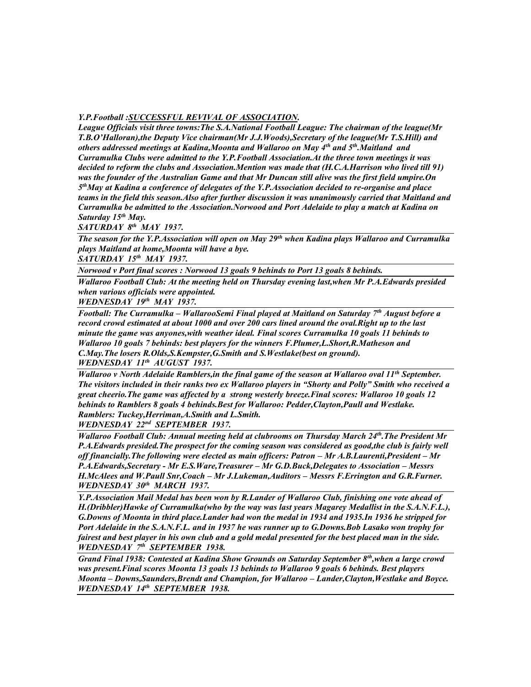## *Y.P.Football :SUCCESSFUL REVIVAL OF ASSOCIATION.*

*League Officials visit three towns:The S.A.National Football League: The chairman of the league(Mr T.B.O'Halloran),the Deputy Vice chairman(Mr J.J.Woods),Secretary of the league(Mr T.S.Hill) and others addressed meetings at Kadina,Moonta and Wallaroo on May 4th and 5th.Maitland and Curramulka Clubs were admitted to the Y.P.Football Association.At the three town meetings it was decided to reform the clubs and Association.Mention was made that (H.C.A.Harrison who lived till 91) was the founder of the Australian Game and that Mr Duncan still alive was the first field umpire.On 5 thMay at Kadina a conference of delegates of the Y.P.Association decided to re-organise and place teams in the field this season.Also after further discussion it was unanimously carried that Maitland and Curramulka be admitted to the Association.Norwood and Port Adelaide to play a match at Kadina on Saturday 15th May.*

*SATURDAY 8th MAY 1937.*

*The season for the Y.P.Association will open on May 29th when Kadina plays Wallaroo and Curramulka plays Maitland at home,Moonta will have a bye.*

*SATURDAY 15th MAY 1937.*

*Norwood v Port final scores : Norwood 13 goals 9 behinds to Port 13 goals 8 behinds.*

*Wallaroo Football Club: At the meeting held on Thursday evening last,when Mr P.A.Edwards presided when various officials were appointed.*

*WEDNESDAY 19th MAY 1937.*

*Football: The Curramulka – WallarooSemi Final played at Maitland on Saturday 7th August before a record crowd estimated at about 1000 and over 200 cars lined around the oval.Right up to the last minute the game was anyones,with weather ideal. Final scores Curramulka 10 goals 11 behinds to Wallaroo 10 goals 7 behinds: best players for the winners F.Plumer,L.Short,R.Matheson and C.May.The losers R.Olds,S.Kempster,G.Smith and S.Westlake(best on ground). WEDNESDAY 11th AUGUST 1937.*

*Wallaroo v North Adelaide Ramblers,in the final game of the season at Wallaroo oval 11th September. The visitors included in their ranks two ex Wallaroo players in "Shorty and Polly" Smith who received a great cheerio.The game was affected by a strong westerly breeze.Final scores: Wallaroo 10 goals 12 behinds to Ramblers 8 goals 4 behinds.Best for Wallaroo: Pedder,Clayton,Paull and Westlake. Ramblers: Tuckey,Herriman,A.Smith and L.Smith. WEDNESDAY 22nd SEPTEMBER 1937.*

*Wallaroo Football Club: Annual meeting held at clubrooms on Thursday March 24th.The President Mr P.A.Edwards presided.The prospect for the coming season was considered as good,the club is fairly well off financially.The following were elected as main officers: Patron – Mr A.B.Laurenti,President – Mr P.A.Edwards,Secretary - Mr E.S.Ware,Treasurer – Mr G.D.Buck,Delegates to Association – Messrs H.McAlees and W.Paull Snr,Coach – Mr J.Lukeman,Auditors – Messrs F.Errington and G.R.Furner. WEDNESDAY 30th MARCH 1937.*

*Y.P.Association Mail Medal has been won by R.Lander of Wallaroo Club, finishing one vote ahead of H.(Dribbler)Hawke of Curramulka(who by the way was last years Magarey Medallist in the S.A.N.F.L.), G.Downs of Moonta in third place.Lander had won the medal in 1934 and 1935.In 1936 he stripped for Port Adelaide in the S.A.N.F.L. and in 1937 he was runner up to G.Downs.Bob Lasako won trophy for fairest and best player in his own club and a gold medal presented for the best placed man in the side. WEDNESDAY 7th SEPTEMBER 1938.*

*Grand Final 1938: Contested at Kadina Show Grounds on Saturday September 8th,when a large crowd was present.Final scores Moonta 13 goals 13 behinds to Wallaroo 9 goals 6 behinds. Best players Moonta – Downs,Saunders,Brendt and Champion, for Wallaroo – Lander,Clayton,Westlake and Boyce. WEDNESDAY 14th SEPTEMBER 1938.*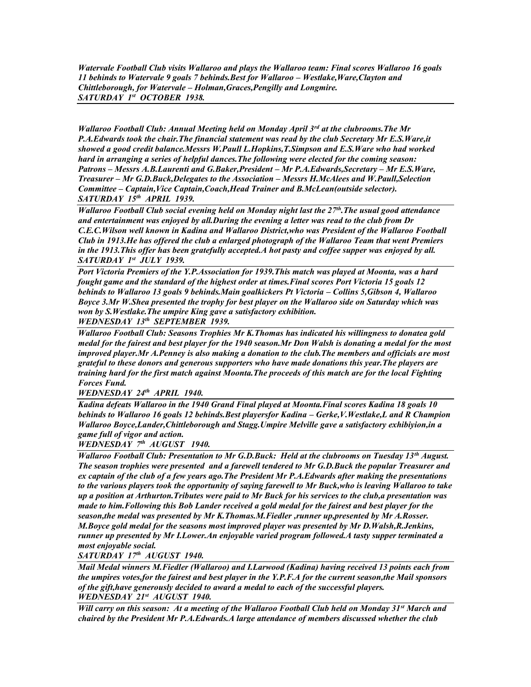*Watervale Football Club visits Wallaroo and plays the Wallaroo team: Final scores Wallaroo 16 goals 11 behinds to Watervale 9 goals 7 behinds.Best for Wallaroo – Westlake,Ware,Clayton and Chittleborough, for Watervale – Holman,Graces,Pengilly and Longmire. SATURDAY 1st OCTOBER 1938.*

*Wallaroo Football Club: Annual Meeting held on Monday April 3rd at the clubrooms.The Mr P.A.Edwards took the chair.The financial statement was read by the club Secretary Mr E.S.Ware,it showed a good credit balance.Messrs W.Paull L.Hopkins,T.Simpson and E.S.Ware who had worked hard in arranging a series of helpful dances.The following were elected for the coming season: Patrons – Messrs A.B.Laurenti and G.Baker,President – Mr P.A.Edwards,Secretary – Mr E.S.Ware, Treasurer – Mr G.D.Buck,Delegates to the Association – Messrs H.McAlees and W.Paull,Selection Committee – Captain,Vice Captain,Coach,Head Trainer and B.McLean(outside selector). SATURDAY 15th APRIL 1939.*

*Wallaroo Football Club social evening held on Monday night last the 27th.The usual good attendance and entertainment was enjoyed by all.During the evening a letter was read to the club from Dr C.E.C.Wilson well known in Kadina and Wallaroo District,who was President of the Wallaroo Football Club in 1913.He has offered the club a enlarged photograph of the Wallaroo Team that went Premiers in the 1913.This offer has been gratefully accepted.A hot pasty and coffee supper was enjoyed by all. SATURDAY 1st JULY 1939.*

*Port Victoria Premiers of the Y.P.Association for 1939.This match was played at Moonta, was a hard fought game and the standard of the highest order at times.Final scores Port Victoria 15 goals 12 behinds to Wallaroo 13 goals 9 behinds.Main goalkickers Pt Victoria – Collins 5,Gibson 4, Wallaroo Boyce 3.Mr W.Shea presented the trophy for best player on the Wallaroo side on Saturday which was won by S.Westlake.The umpire King gave a satisfactory exhibition.*

*WEDNESDAY 13th SEPTEMBER 1939.*

*Wallaroo Football Club: Seasons Trophies Mr K.Thomas has indicated his willingness to donatea gold medal for the fairest and best player for the 1940 season.Mr Don Walsh is donating a medal for the most improved player.Mr A.Penney is also making a donation to the club.The members and officials are most grateful to these donors and generous supporters who have made donations this year.The players are training hard for the first match against Moonta.The proceeds of this match are for the local Fighting Forces Fund.*

*WEDNESDAY 24th APRIL 1940.*

*Kadina defeats Wallaroo in the 1940 Grand Final played at Moonta.Final scores Kadina 18 goals 10 behinds to Wallaroo 16 goals 12 behinds.Best playersfor Kadina – Gerke,V.Westlake,L and R Champion Wallaroo Boyce,Lander,Chittleborough and Stagg.Umpire Melville gave a satisfactory exhibiyion,in a game full of vigor and action.*

*WEDNESDAY 7th AUGUST 1940.*

*Wallaroo Football Club: Presentation to Mr G.D.Buck: Held at the clubrooms on Tuesday 13th August. The season trophies were presented and a farewell tendered to Mr G.D.Buck the popular Treasurer and ex captain of the club of a few years ago.The President Mr P.A.Edwards after making the presentations to the various players took the opportunity of saying farewell to Mr Buck,who is leaving Wallaroo to take up a position at Arthurton.Tributes were paid to Mr Buck for his services to the club,a presentation was made to him.Following this Bob Lander received a gold medal for the fairest and best player for the season,the medal was presented by Mr K.Thomas.M.Fiedler ,runner up,presented by Mr A.Rosser. M.Boyce gold medal for the seasons most improved player was presented by Mr D.Walsh,R.Jenkins, runner up presented by Mr I.Lower.An enjoyable varied program followed.A tasty supper terminated a most enjoyable social.*

*SATURDAY 17th AUGUST 1940.*

*Mail Medal winners M.Fiedler (Wallaroo) and I.Larwood (Kadina) having received 13 points each from the umpires votes,for the fairest and best player in the Y.P.F.A for the current season,the Mail sponsors of the gift,have generously decided to award a medal to each of the successful players. WEDNESDAY 21st AUGUST 1940.*

*Will carry on this season: At a meeting of the Wallaroo Football Club held on Monday 31st March and chaired by the President Mr P.A.Edwards.A large attendance of members discussed whether the club*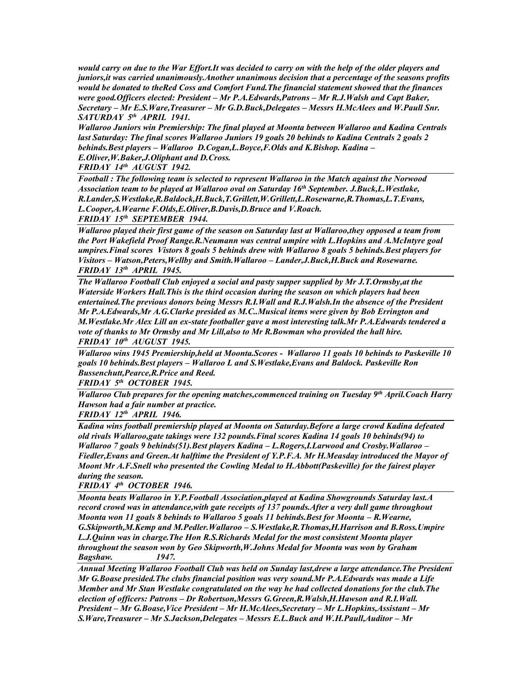*would carry on due to the War Effort.It was decided to carry on with the help of the older players and juniors,it was carried unanimously.Another unanimous decision that a percentage of the seasons profits would be donated to theRed Coss and Comfort Fund.The financial statement showed that the finances were good.Officers elected: President – Mr P.A.Edwards,Patrons – Mr R.J.Walsh and Capt Baker, Secretary – Mr E.S.Ware,Treasurer – Mr G.D.Buck,Delegates – Messrs H.McAlees and W.Paull Snr. SATURDAY 5th APRIL 1941.*

*Wallaroo Juniors win Premiership: The final played at Moonta between Wallaroo and Kadina Centrals last Saturday: The final scores Wallaroo Juniors 19 goals 20 behinds to Kadina Centrals 2 goals 2 behinds.Best players – Wallaroo D.Cogan,L.Boyce,F.Olds and K.Bishop. Kadina – E.Oliver,W.Baker,J.Oliphant and D.Cross.*

*FRIDAY 14th AUGUST 1942.*

*Football : The following team is selected to represent Wallaroo in the Match against the Norwood Association team to be played at Wallaroo oval on Saturday 16th September. J.Buck,L.Westlake, R.Lander,S.Westlake,R.Baldock,H.Buck,T.Grillett,W.Grillett,L.Rosewarne,R.Thomas,L.T.Evans, L.Cooper,A.Wearne F.Olds,E.Oliver,B.Davis,D.Bruce and V.Roach.*

*FRIDAY 15th SEPTEMBER 1944.*

*Wallaroo played their first game of the season on Saturday last at Wallaroo,they opposed a team from the Port Wakefield Proof Range.R.Neumann was central umpire with L.Hopkins and A.McIntyre goal umpires.Final scores Vistors 8 goals 5 behinds drew with Wallaroo 8 goals 5 behinds.Best players for Visitors – Watson,Peters,Wellby and Smith.Wallaroo – Lander,J.Buck,H.Buck and Rosewarne. FRIDAY 13th APRIL 1945.*

*The Wallaroo Football Club enjoyed a social and pasty supper supplied by Mr J.T.Ormsby,at the Waterside Workers Hall.This is the third occasion during the season on which players had been entertained.The previous donors being Messrs R.I.Wall and R.J.Walsh.In the absence of the President Mr P.A.Edwards,Mr A.G.Clarke presided as M.C..Musical items were given by Bob Errington and M.Westlake.Mr Alex Lill an ex-state footballer gave a most interesting talk.Mr P.A.Edwards tendered a vote of thanks to Mr Ormsby and Mr Lill,also to Mr R.Bowman who provided the hall hire. FRIDAY 10th AUGUST 1945.*

*Wallaroo wins 1945 Premiership,held at Moonta.Scores - Wallaroo 11 goals 10 behinds to Paskeville 10 goals 10 behinds.Best players – Wallaroo L and S.Westlake,Evans and Baldock. Paskeville Ron Bussenchutt,Pearce,R.Price and Reed.*

*FRIDAY 5th OCTOBER 1945.*

*Wallaroo Club prepares for the opening matches,commenced training on Tuesday 9th April.Coach Harry Hawson had a fair number at practice.*

*FRIDAY 12th APRIL 1946.*

*Kadina wins football premiership played at Moonta on Saturday.Before a large crowd Kadina defeated old rivals Wallaroo,gate takings were 132 pounds.Final scores Kadina 14 goals 10 behinds(94) to Wallaroo 7 goals 9 behinds(51).Best players Kadina – L.Rogers,I.Larwood and Crosby.Wallaroo – Fiedler,Evans and Green.At halftime the President of Y.P.F.A. Mr H.Measday introduced the Mayor of Moont Mr A.F.Snell who presented the Cowling Medal to H.Abbott(Paskeville) for the fairest player during the season.*

*FRIDAY 4th OCTOBER 1946.*

*Moonta beats Wallaroo in Y.P.Football Association,played at Kadina Showgrounds Saturday last.A record crowd was in attendance,with gate receipts of 137 pounds.After a very dull game throughout Moonta won 11 goals 8 behinds to Wallaroo 5 goals 11 behinds.Best for Moonta – R.Wearne, G.Skipworth,M.Kemp and M.Pedler.Wallaroo – S.Westlake,R.Thomas,H.Harrison and B.Ross.Umpire L.J.Quinn was in charge.The Hon R.S.Richards Medal for the most consistent Moonta player throughout the season won by Geo Skipworth,W.Johns Medal for Moonta was won by Graham Bagshaw. 1947.*

*Annual Meeting Wallaroo Football Club was held on Sunday last,drew a large attendance.The President Mr G.Boase presided.The clubs financial position was very sound.Mr P.A.Edwards was made a Life Member and Mr Stan Westlake congratulated on the way he had collected donations for the club.The election of officers: Patrons – Dr Robertson,Messrs G.Green,R.Walsh,H.Hawson and R.I.Wall. President – Mr G.Boase,Vice President – Mr H.McAlees,Secretary – Mr L.Hopkins,Assistant – Mr S.Ware,Treasurer – Mr S.Jackson,Delegates – Messrs E.L.Buck and W.H.Paull,Auditor – Mr*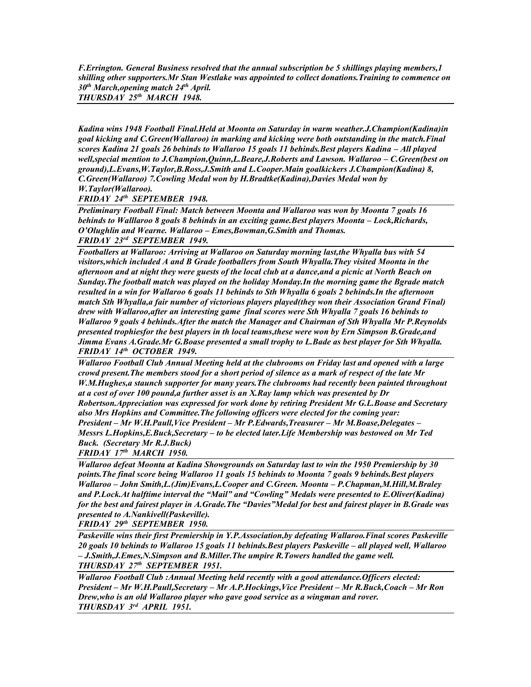*F.Errington. General Business resolved that the annual subscription be 5 shillings playing members,1 shilling other supporters.Mr Stan Westlake was appointed to collect donations.Training to commence on 30th March,opening match 24th April. THURSDAY 25th MARCH 1948.*

*Kadina wins 1948 Football Final.Held at Moonta on Saturday in warm weather.J.Champion(Kadina)in goal kicking and C.Green(Wallaroo) in marking and kicking were both outstanding in the match.Final scores Kadina 21 goals 26 behinds to Wallaroo 15 goals 11 behinds.Best players Kadina – All played well,special mention to J.Champion,Quinn,L.Beare,J.Roberts and Lawson. Wallaroo – C.Green(best on ground),L.Evans,W.Taylor,B.Ross,J.Smith and L.Cooper.Main goalkickers J.Champion(Kadina) 8, C.Green(Wallaroo) 7.Cowling Medal won by H.Bradtke(Kadina),Davies Medal won by W.Taylor(Wallaroo).*

*FRIDAY 24th SEPTEMBER 1948.*

*Preliminary Football Final: Match between Moonta and Wallaroo was won by Moonta 7 goals 16 behinds to Walllaroo 8 goals 8 behinds in an exciting game.Best players Moonta – Lock,Richards, O'Olughlin and Wearne. Wallaroo – Emes,Bowman,G.Smith and Thomas. FRIDAY 23rd SEPTEMBER 1949.*

*Footballers at Wallaroo: Arriving at Wallaroo on Saturday morning last,the Whyalla bus with 54 visitors,which included A and B Grade footballers from South Whyalla.They visited Moonta in the afternoon and at night they were guests of the local club at a dance,and a picnic at North Beach on Sunday.The football match was played on the holiday Monday.In the morning game the Bgrade match resulted in a win for Wallaroo 6 goals 11 behinds to Sth Whyalla 6 goals 2 behinds.In the afternoon match Sth Whyalla,a fair number of victorious players played(they won their Association Grand Final) drew with Wallaroo,after an interesting game final scores were Sth Whyalla 7 goals 16 behinds to Wallaroo 9 goals 4 behinds.After the match the Manager and Chairman of Sth Whyalla Mr P.Reynolds presented trophiesfor the best players in th local teams,these were won by Ern Simpson B.Grade,and Jimma Evans A.Grade.Mr G.Boase presented a small trophy to L.Bade as best player for Sth Whyalla. FRIDAY 14th OCTOBER 1949.*

*Wallaroo Football Club Annual Meeting held at the clubrooms on Friday last and opened with a large crowd present.The members stood for a short period of silence as a mark of respect of the late Mr W.M.Hughes,a staunch supporter for many years.The clubrooms had recently been painted throughout at a cost of over 100 pound,a further asset is an X.Ray lamp which was presented by Dr Robertson.Appreciation was expressed for work done by retiring President Mr G.L.Boase and Secretary also Mrs Hopkins and Committee.The following officers were elected for the coming year: President – Mr W.H.Paull,Vice President – Mr P.Edwards,Treasurer – Mr M.Boase,Delegates – Messrs L.Hopkins,E.Buck,Secretary – to be elected later.Life Membership was bestowed on Mr Ted Buck. (Secretary Mr R.J.Buck)*

*FRIDAY 17th MARCH 1950.*

*Wallaroo defeat Moonta at Kadina Showgrounds on Saturday last to win the 1950 Premiership by 30 points.The final score being Wallaroo 11 goals 15 behinds to Moonta 7 goals 9 behinds.Best players Wallaroo – John Smith,L.(Jim)Evans,L.Cooper and C.Green. Moonta – P.Chapman,M.Hill,M.Braley and P.Lock.At halftime interval the "Mail" and "Cowling" Medals were presented to E.Oliver(Kadina) for the best and fairest player in A.Grade.The "Davies"Medal for best and fairest player in B.Grade was presented to A.Nankivell(Paskeville).*

*FRIDAY 29th SEPTEMBER 1950.*

*Paskeville wins their first Premiership in Y.P.Association,by defeating Wallaroo.Final scores Paskeville*  20 goals 10 behinds to Wallaroo 15 goals 11 behinds. Best players Paskeville – all played well, Wallaroo *– J.Smith,J.Emes,N.Simpson and B.Miller.The umpire R.Towers handled the game well. THURSDAY 27th SEPTEMBER 1951.*

*Wallaroo Football Club :Annual Meeting held recently with a good attendance.Officers elected: President – Mr W.H.Paull,Secretary – Mr A.P.Hockings,Vice President – Mr R.Buck,Coach – Mr Ron Drew,who is an old Wallaroo player who gave good service as a wingman and rover. THURSDAY 3rd APRIL 1951.*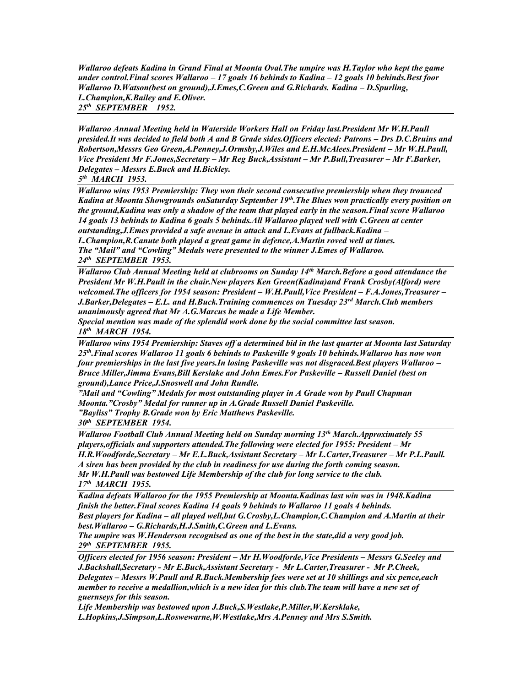*Wallaroo defeats Kadina in Grand Final at Moonta Oval.The umpire was H.Taylor who kept the game under control.Final scores Wallaroo – 17 goals 16 behinds to Kadina – 12 goals 10 behinds.Best foor Wallaroo D.Watson(best on ground),J.Emes,C.Green and G.Richards. Kadina – D.Spurling, L.Champion,K.Bailey and E.Oliver.*

*25th SEPTEMBER 1952.*

*Wallaroo Annual Meeting held in Waterside Workers Hall on Friday last.President Mr W.H.Paull presided.It was decided to field both A and B Grade sides.Officers elected: Patrons – Drs D.C.Bruins and Robertson,Messrs Geo Green,A.Penney,J.Ormsby,J.Wiles and E.H.McAlees.President – Mr W.H.Paull, Vice President Mr F.Jones,Secretary – Mr Reg Buck,Assistant – Mr P.Bull,Treasurer – Mr F.Barker, Delegates – Messrs E.Buck and H.Bickley.*

*5 th MARCH 1953.*

*Wallaroo wins 1953 Premiership: They won their second consecutive premiership when they trounced Kadina at Moonta Showgrounds onSaturday September 19th.The Blues won practically every position on the ground,Kadina was only a shadow of the team that played early in the season.Final score Wallaroo 14 goals 13 behinds to Kadina 6 goals 5 behinds.All Wallaroo played well with C.Green at center outstanding,J.Emes provided a safe avenue in attack and L.Evans at fullback.Kadina – L.Champion,R.Canute both played a great game in defence,A.Martin roved well at times. The "Mail" and "Cowling" Medals were presented to the winner J.Emes of Wallaroo.*

*24th SEPTEMBER 1953. Wallaroo Club Annual Meeting held at clubrooms on Sunday 14th March.Before a good attendance the* 

*President Mr W.H.Paull in the chair.New players Ken Green(Kadina)and Frank Crosby(Alford) were welcomed.The officers for 1954 season: President – W.H.Paull,Vice President – F.A.Jones,Treasurer – J.Barker,Delegates – E.L. and H.Buck.Training commences on Tuesday 23rd March.Club members unanimously agreed that Mr A.G.Marcus be made a Life Member.*

*Special mention was made of the splendid work done by the social committee last season. 18th MARCH 1954.*

*Wallaroo wins 1954 Premiership: Staves off a determined bid in the last quarter at Moonta last Saturday 25th.Final scores Wallaroo 11 goals 6 behinds to Paskeville 9 goals 10 behinds.Wallaroo has now won four premierships in the last five years.In losing Paskeville was not disgraced.Best players Wallaroo – Bruce Miller,Jimma Evans,Bill Kerslake and John Emes.For Paskeville – Russell Daniel (best on ground),Lance Price,J.Snoswell and John Rundle.*

*"Mail and "Cowling" Medals for most outstanding player in A Grade won by Paull Chapman Moonta."Crosby" Medal for runner up in A.Grade Russell Daniel Paskeville. "Bayliss" Trophy B.Grade won by Eric Matthews Paskeville.*

*30th SEPTEMBER 1954.*

*Wallaroo Football Club Annual Meeting held on Sunday morning 13th March.Approximately 55 players,officials and supporters attended. The following were elected for 1955: President – Mr H.R.Woodforde,Secretary – Mr E.L.Buck,Assistant Secretary – Mr L.Carter,Treasurer – Mr P.L.Paull. A siren has been provided by the club in readiness for use during the forth coming season. Mr W.H.Paull was bestowed Life Membership of the club for long service to the club. 17th MARCH 1955.*

*Kadina defeats Wallaroo for the 1955 Premiership at Moonta.Kadinas last win was in 1948.Kadina finish the better.Final scores Kadina 14 goals 9 behinds to Wallaroo 11 goals 4 behinds. Best players for Kadina – all played well,but G.Crosby,L.Champion,C.Champion and A.Martin at their best.Wallaroo – G.Richards,H.J.Smith,C.Green and L.Evans.*

*The umpire was W.Henderson recognised as one of the best in the state,did a very good job. 29th SEPTEMBER 1955.*

*Officers elected for 1956 season: President – Mr H.Woodforde,Vice Presidents – Messrs G.Seeley and J.Backshall,Secretary - Mr E.Buck,Assistant Secretary - Mr L.Carter,Treasurer - Mr P.Cheek, Delegates – Messrs W.Paull and R.Buck.Membership fees were set at 10 shillings and six pence,each member to receive a medallion,which is a new idea for this club.The team will have a new set of guernseys for this season.*

*Life Membership was bestowed upon J.Buck,S.Westlake,P.Miller,W.Kersklake, L.Hopkins,J.Simpson,L.Roswewarne,W.Westlake,Mrs A.Penney and Mrs S.Smith.*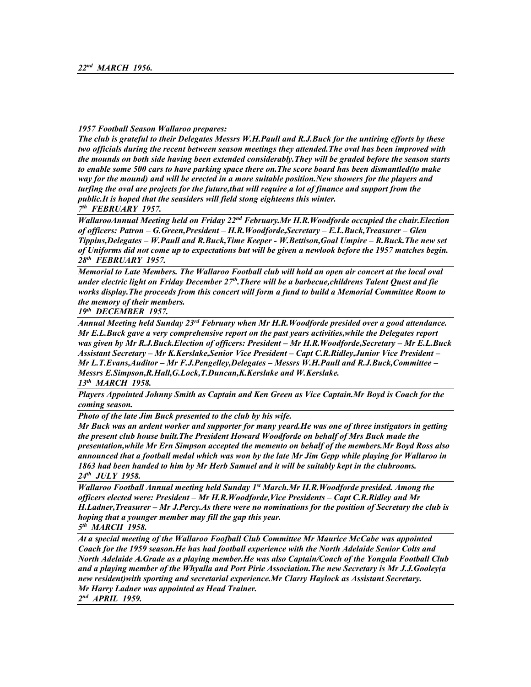### *1957 Football Season Wallaroo prepares:*

*The club is grateful to their Delegates Messrs W.H.Paull and R.J.Buck for the untiring efforts by these two officials during the recent between season meetings they attended.The oval has been improved with the mounds on both side having been extended considerably.They will be graded before the season starts to enable some 500 cars to have parking space there on.The score board has been dismantled(to make way for the mound) and will be erected in a more suitable position.New showers for the players and turfing the oval are projects for the future,that will require a lot of finance and support from the public.It is hoped that the seasiders will field stong eighteens this winter. 7 th FEBRUARY 1957.*

*WallarooAnnual Meeting held on Friday 22nd February.Mr H.R.Woodforde occupied the chair.Election of officers: Patron – G.Green,President – H.R.Woodforde,Secretary – E.L.Buck,Treasurer – Glen Tippins,Delegates – W.Paull and R.Buck,Time Keeper - W.Bettison,Goal Umpire – R.Buck.The new set of Uniforms did not come up to expectations but will be given a newlook before the 1957 matches begin. 28th FEBRUARY 1957.*

*Memorial to Late Members. The Wallaroo Football club will hold an open air concert at the local oval under electric light on Friday December 27th.There will be a barbecue,childrens Talent Quest and fie works display.The proceeds from this concert will form a fund to build a Memorial Committee Room to the memory of their members.*

*19th DECEMBER 1957.*

*Annual Meeting held Sunday 23rd February when Mr H.R.Woodforde presided over a good attendance. Mr E.L.Buck gave a very comprehensive report on the past years activities,while the Delegates report was given by Mr R.J.Buck.Election of officers: President – Mr H.R.Woodforde,Secretary – Mr E.L.Buck Assistant Secretary – Mr K.Kerslake,Senior Vice President – Capt C.R.Ridley,Junior Vice President – Mr L.T.Evans,Auditor – Mr F.J.Pengelley,Delegates – Messrs W.H.Paull and R.J.Buck,Committee – Messrs E.Simpson,R.Hall,G.Lock,T.Duncan,K.Kerslake and W.Kerslake. 13th MARCH 1958.*

*Players Appointed Johnny Smith as Captain and Ken Green as Vice Captain.Mr Boyd is Coach for the coming season.*

*Photo of the late Jim Buck presented to the club by his wife.*

*Mr Buck was an ardent worker and supporter for many yeard.He was one of three instigators in getting the present club house built.The President Howard Woodforde on behalf of Mrs Buck made the presentation,while Mr Ern Simpson accepted the memento on behalf of the members.Mr Boyd Ross also announced that a football medal which was won by the late Mr Jim Gepp while playing for Wallaroo in 1863 had been handed to him by Mr Herb Samuel and it will be suitably kept in the clubrooms. 24th JULY 1958.*

*Wallaroo Football Annual meeting held Sunday 1st March.Mr H.R.Woodforde presided. Among the officers elected were: President – Mr H.R.Woodforde,Vice Presidents – Capt C.R.Ridley and Mr H.Ladner,Treasurer – Mr J.Percy.As there were no nominations for the position of Secretary the club is hoping that a younger member may fill the gap this year.*

*5 th MARCH 1958.*

*At a special meeting of the Wallaroo Foofball Club Committee Mr Maurice McCabe was appointed Coach for the 1959 season.He has had football experience with the North Adelaide Senior Colts and North Adelaide A.Grade as a playing member.He was also Captain/Coach of the Yongala Football Club and a playing member of the Whyalla and Port Pirie Association.The new Secretary is Mr J.J.Gooley(a new resident)with sporting and secretarial experience.Mr Clarry Haylock as Assistant Secretary. Mr Harry Ladner was appointed as Head Trainer.*

*2 nd APRIL 1959.*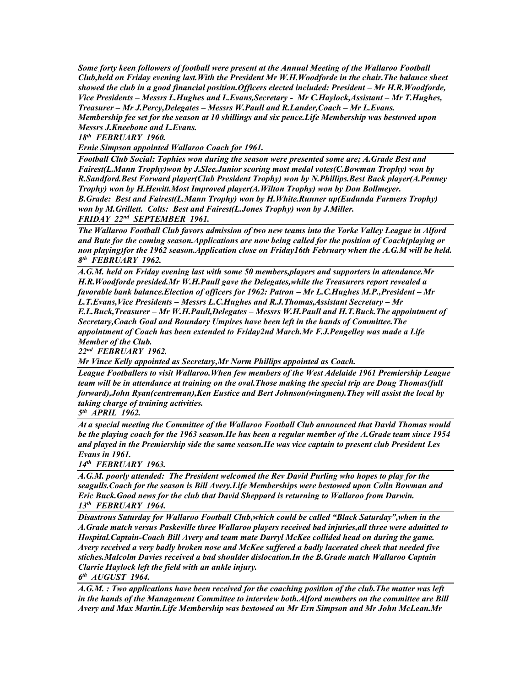*Some forty keen followers of football were present at the Annual Meeting of the Wallaroo Football Club,held on Friday evening last.With the President Mr W.H.Woodforde in the chair.The balance sheet showed the club in a good financial position. Officers elected included: President – Mr H.R. Woodforde, Vice Presidents – Messrs L.Hughes and L.Evans, Secretary - Mr C.Haylock, Assistant – Mr T.Hughes, Treasurer – Mr J.Percy,Delegates – Messrs W.Paull and R.Lander,Coach – Mr L.Evans. Membership fee set for the season at 10 shillings and six pence.Life Membership was bestowed upon Messrs J.Kneebone and L.Evans.*

*18th FEBRUARY 1960.*

*Ernie Simpson appointed Wallaroo Coach for 1961.*

*Football Club Social: Tophies won during the season were presented some are; A.Grade Best and Fairest(L.Mann Trophy)won by J.Slee.Junior scoring most medal votes(C.Bowman Trophy) won by R.Sandford.Best Forward player(Club President Trophy) won by N.Phillips.Best Back player(A.Penney Trophy) won by H.Hewitt.Most Improved player(A.Wilton Trophy) won by Don Bollmeyer. B.Grade: Best and Fairest(L.Mann Trophy) won by H.White.Runner up(Eudunda Farmers Trophy) won by M.Grillett. Colts: Best and Fairest(L.Jones Trophy) won by J.Miller. FRIDAY 22nd SEPTEMBER 1961.*

*The Wallaroo Football Club favors admission of two new teams into the Yorke Valley League in Alford and Bute for the coming season.Applications are now being called for the position of Coach(playing or non playing)for the 1962 season.Application close on Friday16th February when the A.G.M will be held. 8 th FEBRUARY 1962.*

*A.G.M. held on Friday evening last with some 50 members,players and supporters in attendance.Mr H.R.Woodforde presided.Mr W.H.Paull gave the Delegates,while the Treasurers report revealed a favorable bank balance.Election of officers for 1962: Patron – Mr L.C.Hughes M.P.,President – Mr L.T.Evans,Vice Presidents – Messrs L.C.Hughes and R.J.Thomas,Assistant Secretary – Mr E.L.Buck,Treasurer – Mr W.H.Paull,Delegates – Messrs W.H.Paull and H.T.Buck.The appointment of Secretary,Coach Goal and Boundary Umpires have been left in the hands of Committee.The appointment of Coach has been extended to Friday2nd March.Mr F.J.Pengelley was made a Life Member of the Club.*

*22nd FEBRUARY 1962.* 

*Mr Vince Kelly appointed as Secretary,Mr Norm Phillips appointed as Coach.*

*League Footballers to visit Wallaroo.When few members of the West Adelaide 1961 Premiership League team will be in attendance at training on the oval.Those making the special trip are Doug Thomas(full forward),John Ryan(centreman),Ken Eustice and Bert Johnson(wingmen).They will assist the local by taking charge of training activities.*

*5 th APRIL 1962.*

*At a special meeting the Committee of the Wallaroo Football Club announced that David Thomas would be the playing coach for the 1963 season.He has been a regular member of the A.Grade team since 1954 and played in the Premiership side the same season.He was vice captain to present club President Les Evans in 1961.*

*14th FEBRUARY 1963.*

*A.G.M. poorly attended: The President welcomed the Rev David Purling who hopes to play for the seagulls.Coach for the season is Bill Avery.Life Memberships were bestowed upon Colin Bowman and Eric Buck.Good news for the club that David Sheppard is returning to Wallaroo from Darwin. 13th FEBRUARY 1964.*

*Disastrous Saturday for Wallaroo Football Club,which could be called "Black Saturday",when in the A.Grade match versus Paskeville three Wallaroo players received bad injuries,all three were admitted to Hospital.Captain-Coach Bill Avery and team mate Darryl McKee collided head on during the game. Avery received a very badly broken nose and McKee suffered a badly lacerated cheek that needed five stiches.Malcolm Davies received a bad shoulder dislocation.In the B.Grade match Wallaroo Captain Clarrie Haylock left the field with an ankle injury.*

*6 th AUGUST 1964.*

*A.G.M. : Two applications have been received for the coaching position of the club.The matter was left in the hands of the Management Committee to interview both.Alford members on the committee are Bill Avery and Max Martin.Life Membership was bestowed on Mr Ern Simpson and Mr John McLean.Mr*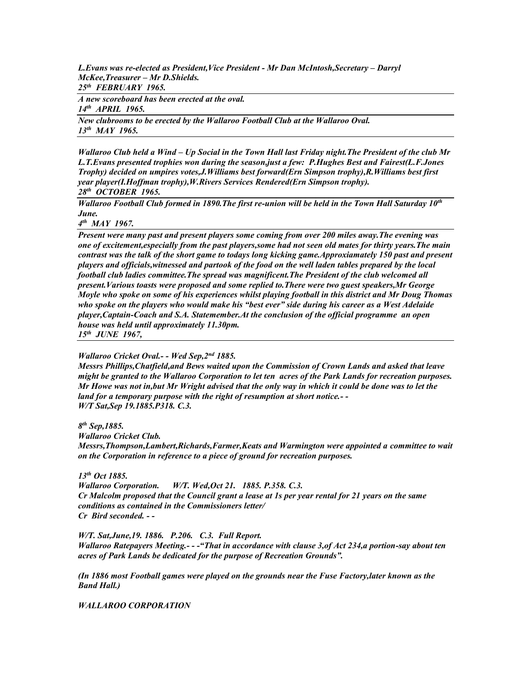*L.Evans was re-elected as President,Vice President - Mr Dan McIntosh,Secretary – Darryl McKee,Treasurer – Mr D.Shields. 25th FEBRUARY 1965.*

*A new scoreboard has been erected at the oval. 14th APRIL 1965.*

*New clubrooms to be erected by the Wallaroo Football Club at the Wallaroo Oval. 13th MAY 1965.*

*Wallaroo Club held a Wind – Up Social in the Town Hall last Friday night.The President of the club Mr L.T.Evans presented trophies won during the season,just a few: P.Hughes Best and Fairest(L.F.Jones Trophy) decided on umpires votes,J.Williams best forward(Ern Simpson trophy),R.Williams best first year player(I.Hoffman trophy),W.Rivers Services Rendered(Ern Simpson trophy). 28th OCTOBER 1965.*

*Wallaroo Football Club formed in 1890.The first re-union will be held in the Town Hall Saturday 10th June.*

*4 th MAY 1967.*

*Present were many past and present players some coming from over 200 miles away.The evening was one of excitement,especially from the past players,some had not seen old mates for thirty years.The main contrast was the talk of the short game to todays long kicking game.Approxiamately 150 past and present players and officials,witnessed and partook of the food on the well laden tables prepared by the local football club ladies committee.The spread was magnificent.The President of the club welcomed all present.Various toasts were proposed and some replied to.There were two guest speakers,Mr George Moyle who spoke on some of his experiences whilst playing football in this district and Mr Doug Thomas who spoke on the players who would make his "best ever" side during his career as a West Adelaide player,Captain-Coach and S.A. Statemember.At the conclusion of the official programme an open house was held until approximately 11.30pm.*

*15th JUNE 1967,*

*Wallaroo Cricket Oval.- - Wed Sep,2nd 1885.*

*Messrs Phillips,Chatfield,and Bews waited upon the Commission of Crown Lands and asked that leave might be granted to the Wallaroo Corporation to let ten acres of the Park Lands for recreation purposes. Mr Howe was not in,but Mr Wright advised that the only way in which it could be done was to let the land for a temporary purpose with the right of resumption at short notice.- - W/T Sat,Sep 19.1885.P318. C.3.*

*8 th Sep,1885.*

*Wallaroo Cricket Club.*

*Messrs,Thompson,Lambert,Richards,Farmer,Keats and Warmington were appointed a committee to wait on the Corporation in reference to a piece of ground for recreation purposes.*

*13th Oct 1885.*

*Wallaroo Corporation. W/T. Wed,Oct 21. 1885. P.358. C.3. Cr Malcolm proposed that the Council grant a lease at 1s per year rental for 21 years on the same conditions as contained in the Commissioners letter/ Cr Bird seconded. - -*

*W/T. Sat,June,19. 1886. P.206. C.3. Full Report. Wallaroo Ratepayers Meeting.- - -"That in accordance with clause 3,of Act 234,a portion-say about ten acres of Park Lands be dedicated for the purpose of Recreation Grounds".*

*(In 1886 most Football games were played on the grounds near the Fuse Factory,later known as the Band Hall.)*

*WALLAROO CORPORATION*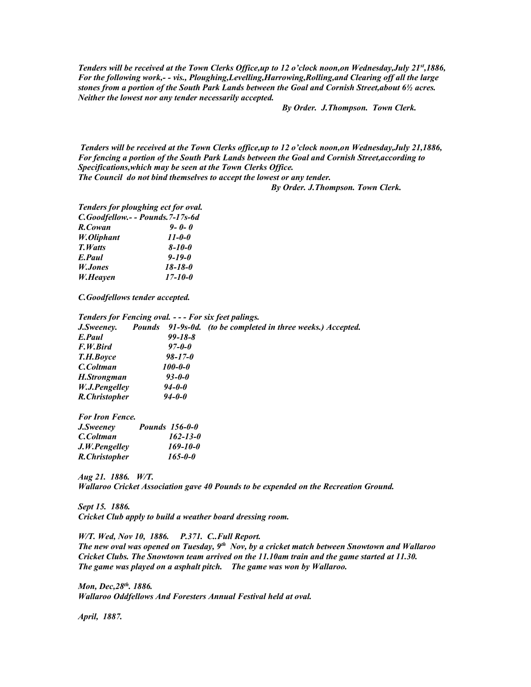*Tenders will be received at the Town Clerks Office,up to 12 o'clock noon,on Wednesday,July 21st,1886, For the following work,- - vis., Ploughing,Levelling,Harrowing,Rolling,and Clearing off all the large stones from a portion of the South Park Lands between the Goal and Cornish Street,about 6½ acres. Neither the lowest nor any tender necessarily accepted.*

 *By Order. J.Thompson. Town Clerk.*

*Tenders will be received at the Town Clerks office,up to 12 o'clock noon,on Wednesday,July 21,1886, For fencing a portion of the South Park Lands between the Goal and Cornish Street,according to Specifications,which may be seen at the Town Clerks Office.*

*The Council do not bind themselves to accept the lowest or any tender.*

 *By Order. J.Thompson. Town Clerk.*

*Tenders for ploughing ect for oval. C.Goodfellow.- - Pounds.7-17s-6d R.Cowan 9- 0- 0 W.Oliphant 11-0-0 T.Watts 8-10-0 E.Paul 9-19-0 W.Jones 18-18-0 W.Heayen 17-10-0*

*C.Goodfellows tender accepted.*

|                | Pounds 91-9s-0d. (to be completed in three weeks.) Accepted. |
|----------------|--------------------------------------------------------------|
| $99 - 18 - 8$  |                                                              |
| $97 - 0 - 0$   |                                                              |
| $98 - 17 - 0$  |                                                              |
| <i>100-0-0</i> |                                                              |
| $93 - 0 - 0$   |                                                              |
| $94 - 0 - 0$   |                                                              |
| $94 - 0 - 0$   |                                                              |
|                |                                                              |

| <i>For Iron Fence.</i><br>J.Sweeney | <b>Pounds</b> 156-0-0 |
|-------------------------------------|-----------------------|
| C.Coltman                           | $162 - 13 - 0$        |
| J.W.Pengelley                       | $169 - 10 - 0$        |
| R.Christopher                       | $165 - 0 - 0$         |

*Aug 21. 1886. W/T. Wallaroo Cricket Association gave 40 Pounds to be expended on the Recreation Ground.*

*Sept 15. 1886. Cricket Club apply to build a weather board dressing room.*

*W/T. Wed, Nov 10, 1886. P.371. C..Full Report. The new oval was opened on Tuesday, 9th Nov, by a cricket match between Snowtown and Wallaroo Cricket Clubs. The Snowtown team arrived on the 11.10am train and the game started at 11.30. The game was played on a asphalt pitch. The game was won by Wallaroo.*

*Mon, Dec,28th. 1886. Wallaroo Oddfellows And Foresters Annual Festival held at oval.*

*April, 1887.*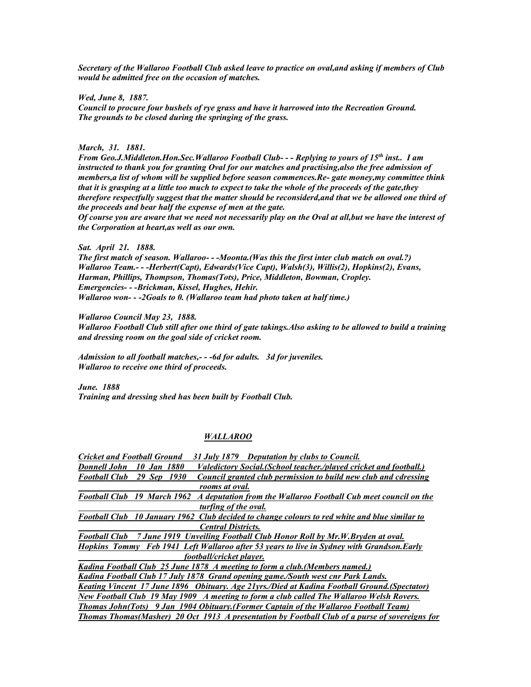*Secretary of the Wallaroo Football Club asked leave to practice on oval,and asking if members of Club would be admitted free on the occasion of matches.*

*Wed, June 8, 1887. Council to procure four bushels of rye grass and have it harrowed into the Recreation Ground. The grounds to be closed during the springing of the grass.*

*March, 31. 1881.*

*From Geo.J.Middleton.Hon.Sec.Wallaroo Football Club- - - Replying to yours of 15th inst.. I am instructed to thank you for granting Oval for our matches and practising,also the free admission of members,a list of whom will be supplied before season commences.Re- gate money,my committee think that it is grasping at a little too much to expect to take the whole of the proceeds of the gate,they therefore respectfully suggest that the matter should be reconsiderd,and that we be allowed one third of the proceeds and bear half the expense of men at the gate.*

*Of course you are aware that we need not necessarily play on the Oval at all,but we have the interest of the Corporation at heart,as well as our own.*

### *Sat. April 21. 1888.*

*The first match of season. Wallaroo- - -Moonta.(Was this the first inter club match on oval.?) Wallaroo Team.- - -Herbert(Capt), Edwards(Vice Capt), Walsh(3), Willis(2), Hopkins(2), Evans, Harman, Phillips, Thompson, Thomas(Tots), Price, Middleton, Bowman, Cropley. Emergencies- - -Brickman, Kissel, Hughes, Hehir. Wallaroo won- - -2Goals to 0. (Wallaroo team had photo taken at half time.)*

*Wallaroo Council May 23, 1888.*

*Wallaroo Football Club still after one third of gate takings.Also asking to be allowed to build a training and dressing room on the goal side of cricket room.*

*Admission to all football matches,- - -6d for adults. 3d for juveniles. Wallaroo to receive one third of proceeds.*

*June. 1888 Training and dressing shed has been built by Football Club.*

### *WALLAROO*

| <b>Cricket and Football Ground</b><br>31 July 1879 Deputation by clubs to Council.                             |
|----------------------------------------------------------------------------------------------------------------|
| 10 Jan 1880<br><i>Valedictory Social.(School teacher./played cricket and football.)</i><br><b>Donnell John</b> |
| Council granted club permission to build new club and cdressing<br><b>Football Club</b><br>29 Sep 1930         |
| rooms at oval.                                                                                                 |
| Football Club 19 March 1962 A deputation from the Wallaroo Football Cub meet council on the                    |
| turfing of the oval.                                                                                           |
| Football Club 10 January 1962 Club decided to change colours to red white and blue similar to                  |
| <b>Central Districts.</b>                                                                                      |
| Football Club 7 June 1919 Unveiling Football Club Honor Roll by Mr.W.Bryden at oval.                           |
| Hopkins Tommy Feb 1941 Left Wallaroo after 53 years to live in Sydney with Grandson.Early                      |
| football/cricket player.                                                                                       |
| Kadina Football Club 25 June 1878 A meeting to form a club. (Members named.)                                   |
| Kadina Football Club 17 July 1878 Grand opening game./South west cnr Park Lands.                               |
| <u>Keating Vincent 17 June 1896 Obituary. Age 21 yrs./Died at Kadina Football Ground. (Spectator)</u>          |
| <b>New Football Club 19 May 1909 A meeting to form a club called The Wallaroo Welsh Rovers.</b>                |
| Thomas John(Tots) 9 Jan 1904 Obituary. (Former Captain of the Wallaroo Football Team)                          |
| <b>Thomas Thomas (Masher)</b> 20 Oct 1913 A presentation by Football Club of a purse of sovereigns for         |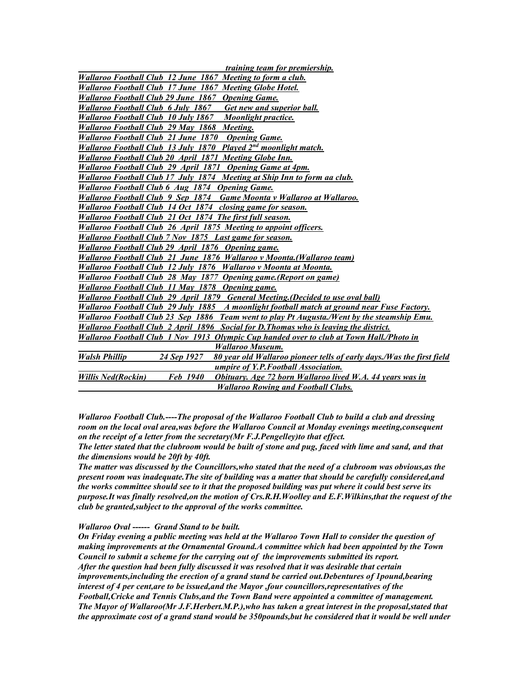| <i>training team for premiership.</i>                                                                        |
|--------------------------------------------------------------------------------------------------------------|
| Wallaroo Football Club 12 June 1867 Meeting to form a club.                                                  |
| Wallaroo Football Club 17 June 1867 Meeting Globe Hotel.                                                     |
| Wallaroo Football Club 29 June 1867 Opening Game.                                                            |
| Wallaroo Football Club 6 July 1867 Get new and superior ball.                                                |
| Wallaroo Football Club 10 July 1867 Moonlight practice.                                                      |
| Wallaroo Football Club 29 May 1868 Meeting.                                                                  |
| Wallaroo Football Club 21 June 1870 Opening Game.                                                            |
| Wallaroo Football Club 13 July 1870 Played 2 <sup>nd</sup> moonlight match.                                  |
| Wallaroo Football Club 20 April 1871 Meeting Globe Inn.                                                      |
| Wallaroo Football Club 29 April 1871 Opening Game at 4pm.                                                    |
| Wallaroo Football Club 17 July 1874 Meeting at Ship Inn to form aa club.                                     |
| Wallaroo Football Club 6 Aug 1874 Opening Game.                                                              |
| Wallaroo Football Club 9 Sep 1874 Game Moonta v Wallaroo at Wallaroo.                                        |
| Wallaroo Football Club 14 Oct 1874 closing game for season.                                                  |
| Wallaroo Football Club 21 Oct 1874 The first full season.                                                    |
| Wallaroo Football Club 26 April 1875 Meeting to appoint officers.                                            |
| Wallaroo Football Club 7 Nov 1875 Last game for season.                                                      |
| Wallaroo Football Club 29 April 1876 Opening game.                                                           |
| Wallaroo Football Club 21 June 1876 Wallaroo v Moonta.(Wallaroo team)                                        |
| Wallaroo Football Club 12 July 1876 Wallaroo v Moonta at Moonta.                                             |
| Wallaroo Football Club 28 May 1877 Opening game. (Report on game)                                            |
| Wallaroo Football Club 11 May 1878 Opening game.                                                             |
| Wallaroo Football Club 29 April 1879 General Meeting. (Decided to use oval ball)                             |
| Wallaroo Football Club 29 July 1885 A moonlight football match at ground near Fuse Factory.                  |
| Wallaroo Football Club 23 Sep 1886 Team went to play Pt Augusta./Went by the steamship Emu.                  |
| Wallaroo Football Club 2 April 1896 Social for D. Thomas who is leaving the district.                        |
| Wallaroo Football Club 1 Nov 1913 Olympic Cup handed over to club at Town Hall./Photo in                     |
| <b>Wallaroo Museum.</b>                                                                                      |
| <b>Walsh Phillip</b><br>24 Sep 1927<br>80 year old Wallaroo pioneer tells of early days./Was the first field |
| umpire of Y.P. Football Association.                                                                         |
| Obituary. Age 72 born Wallaroo lived W.A. 44 years was in<br><b>Willis Ned(Rockin)</b><br><b>Feb</b> 1940    |
| <b>Wallaroo Rowing and Football Clubs.</b>                                                                   |

*Wallaroo Football Club.----The proposal of the Wallaroo Football Club to build a club and dressing room on the local oval area,was before the Wallaroo Council at Monday evenings meeting,consequent on the receipt of a letter from the secretary(Mr F.J.Pengelley)to that effect.*

*The letter stated that the clubroom would be built of stone and pug, faced with lime and sand, and that the dimensions would be 20ft by 40ft.*

*The matter was discussed by the Councillors,who stated that the need of a clubroom was obvious,as the present room was inadequate.The site of building was a matter that should be carefully considered,and the works committee should see to it that the proposed building was put where it could best serve its purpose.It was finally resolved,on the motion of Crs.R.H.Woolley and E.F.Wilkins,that the request of the club be granted,subject to the approval of the works committee.*

### *Wallaroo Oval ------ Grand Stand to be built.*

*On Friday evening a public meeting was held at the Wallaroo Town Hall to consider the question of making improvements at the Ornamental Ground.A committee which had been appointed by the Town Council to submit a scheme for the carrying out of the improvements submitted its report. After the question had been fully discussed it was resolved that it was desirable that certain improvements,including the erection of a grand stand be carried out.Debentures of 1pound,bearing interest of 4 per cent,are to be issued,and the Mayor ,four councillors,representatives of the Football,Cricke and Tennis Clubs,and the Town Band were appointed a committee of management. The Mayor of Wallaroo(Mr J.F.Herbert.M.P.),who has taken a great interest in the proposal,stated that the approximate cost of a grand stand would be 350pounds,but he considered that it would be well under*